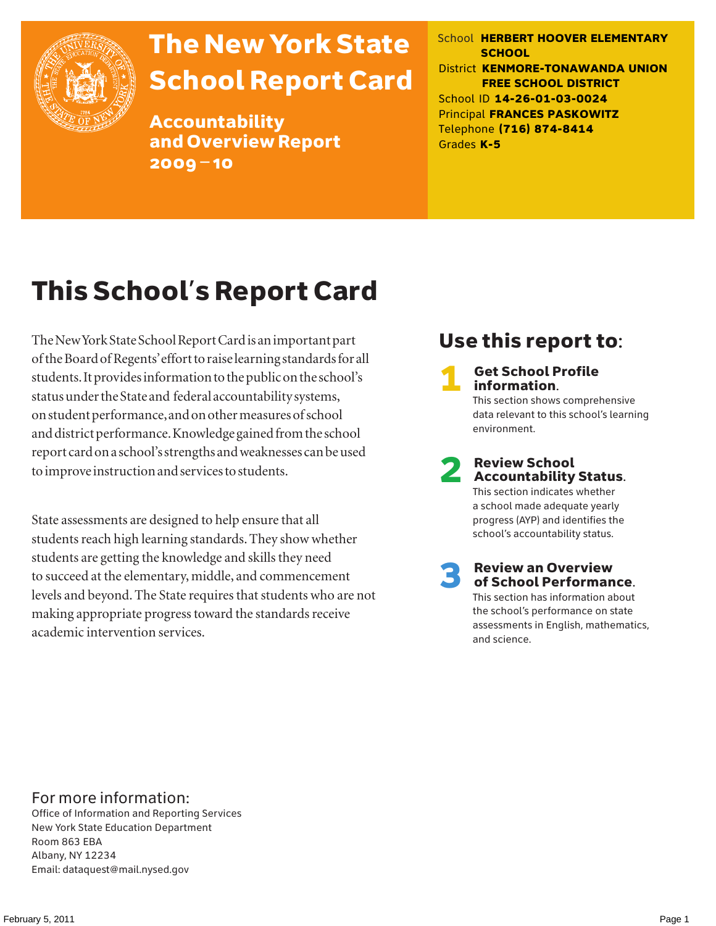

# The New York State School Report Card

Accountability and Overview Report 2009–10

School **HERBERT HOOVER ELEMENTARY SCHOOL** District **KENMORE-TONAWANDA UNION FREE SCHOOL DISTRICT** School ID **14-26-01-03-0024** Principal **FRANCES PASKOWITZ** Telephone **(716) 874-8414** Grades **K-5**

# This School's Report Card

The New York State School Report Card is an important part of the Board of Regents' effort to raise learning standards for all students. It provides information to the public on the school's status under the State and federal accountability systems, on student performance, and on other measures of school and district performance. Knowledge gained from the school report card on a school's strengths and weaknesses can be used to improve instruction and services to students.

State assessments are designed to help ensure that all students reach high learning standards. They show whether students are getting the knowledge and skills they need to succeed at the elementary, middle, and commencement levels and beyond. The State requires that students who are not making appropriate progress toward the standards receive academic intervention services.

### Use this report to:

**Get School Profile** information. This section shows comprehensive data relevant to this school's learning environment.

# 2 Review School Accountability Status.

This section indicates whether a school made adequate yearly progress (AYP) and identifies the school's accountability status.

3 Review an Overview of School Performance. This section has information about

the school's performance on state assessments in English, mathematics, and science.

### For more information:

Office of Information and Reporting Services New York State Education Department Room 863 EBA Albany, NY 12234 Email: dataquest@mail.nysed.gov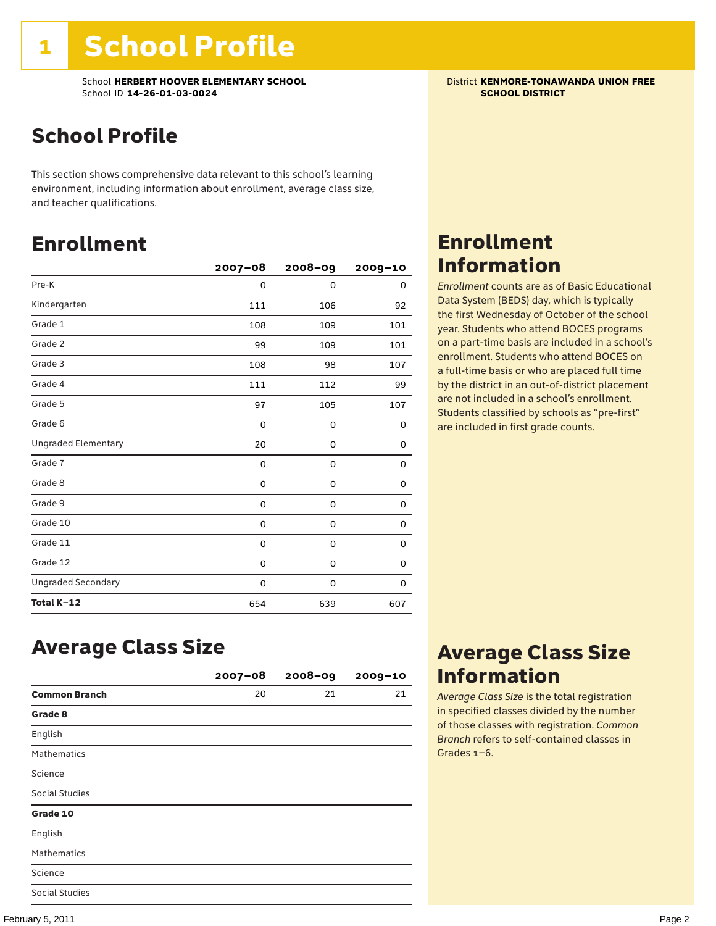School **HERBERT HOOVER ELEMENTARY SCHOOL**<br>School ID 14-26-01-03-0024<br>**SCHOOL DISTRICT** School ID **14-26-01-03-0024** 

## School Profile

This section shows comprehensive data relevant to this school's learning environment, including information about enrollment, average class size, and teacher qualifications.

### Enrollment

|                            | $2007 - 08$ | 2008-09     | $2009 - 10$ |
|----------------------------|-------------|-------------|-------------|
| Pre-K                      | 0           | $\mathbf 0$ | 0           |
| Kindergarten               | 111         | 106         | 92          |
| Grade 1                    | 108         | 109         | 101         |
| Grade 2                    | 99          | 109         | 101         |
| Grade 3                    | 108         | 98          | 107         |
| Grade 4                    | 111         | 112         | 99          |
| Grade 5                    | 97          | 105         | 107         |
| Grade 6                    | 0           | 0           | 0           |
| <b>Ungraded Elementary</b> | 20          | 0           | 0           |
| Grade 7                    | 0           | 0           | 0           |
| Grade 8                    | 0           | 0           | 0           |
| Grade 9                    | 0           | 0           | 0           |
| Grade 10                   | 0           | 0           | 0           |
| Grade 11                   | 0           | 0           | 0           |
| Grade 12                   | 0           | 0           | 0           |
| <b>Ungraded Secondary</b>  | 0           | 0           | 0           |
| Total K-12                 | 654         | 639         | 607         |

### Enrollment Information

*Enrollment* counts are as of Basic Educational Data System (BEDS) day, which is typically the first Wednesday of October of the school year. Students who attend BOCES programs on a part-time basis are included in a school's enrollment. Students who attend BOCES on a full-time basis or who are placed full time by the district in an out-of-district placement are not included in a school's enrollment. Students classified by schools as "pre-first" are included in first grade counts.

### Average Class Size

|                      | $2007 - 08$ | $2008 - 09$ | $2009 - 10$ |
|----------------------|-------------|-------------|-------------|
| <b>Common Branch</b> | 20          | 21          | 21          |
| Grade 8              |             |             |             |
| English              |             |             |             |
| <b>Mathematics</b>   |             |             |             |
| Science              |             |             |             |
| Social Studies       |             |             |             |
| Grade 10             |             |             |             |
| English              |             |             |             |
| <b>Mathematics</b>   |             |             |             |
| Science              |             |             |             |
| Social Studies       |             |             |             |

### Average Class Size Information

*Average Class Size* is the total registration in specified classes divided by the number of those classes with registration. *Common Branch* refers to self-contained classes in Grades 1–6.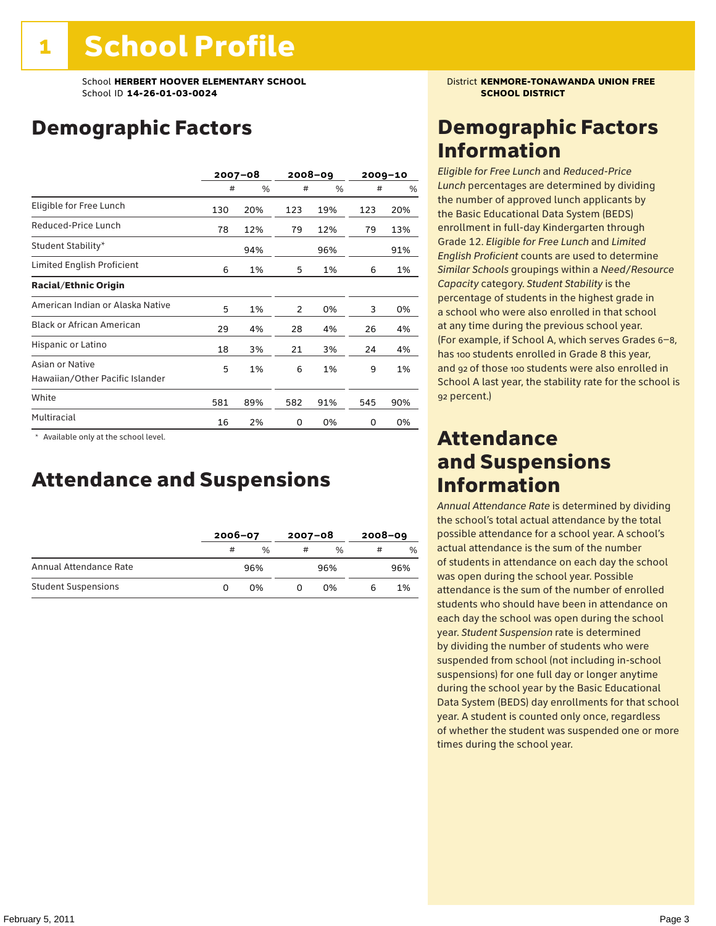## Demographic Factors

|                                                    |     | 2007-08 |     | 2008-09 |     | $2009 - 10$ |
|----------------------------------------------------|-----|---------|-----|---------|-----|-------------|
|                                                    | #   | %       | #   | %       | #   | %           |
| Eligible for Free Lunch                            | 130 | 20%     | 123 | 19%     | 123 | 20%         |
| Reduced-Price Lunch                                | 78  | 12%     | 79  | 12%     | 79  | 13%         |
| Student Stability*                                 |     | 94%     |     | 96%     |     | 91%         |
| Limited English Proficient                         | 6   | 1%      | 5   | 1%      | 6   | 1%          |
| <b>Racial/Ethnic Origin</b>                        |     |         |     |         |     |             |
| American Indian or Alaska Native                   | 5   | 1%      | 2   | 0%      | 3   | 0%          |
| <b>Black or African American</b>                   | 29  | 4%      | 28  | 4%      | 26  | 4%          |
| Hispanic or Latino                                 | 18  | 3%      | 21  | 3%      | 24  | 4%          |
| Asian or Native<br>Hawaiian/Other Pacific Islander | 5   | 1%      | 6   | 1%      | 9   | 1%          |
| White                                              | 581 | 89%     | 582 | 91%     | 545 | 90%         |
| Multiracial                                        | 16  | 2%      | 0   | 0%      | 0   | 0%          |

 \* Available only at the school level.

### Attendance and Suspensions

|                            |   | $2006 - 07$   |   | $2007 - 08$   |   | $2008 - 09$ |  |
|----------------------------|---|---------------|---|---------------|---|-------------|--|
|                            | # | $\frac{0}{0}$ | # | $\frac{0}{6}$ | # | $\%$        |  |
| Annual Attendance Rate     |   | 96%           |   | 96%           |   | 96%         |  |
| <b>Student Suspensions</b> |   | በ%            |   | በ%            |   | 1%          |  |

### Demographic Factors Information

*Eligible for Free Lunch* and *Reduced*-*Price Lunch* percentages are determined by dividing the number of approved lunch applicants by the Basic Educational Data System (BEDS) enrollment in full-day Kindergarten through Grade 12. *Eligible for Free Lunch* and *Limited English Proficient* counts are used to determine *Similar Schools* groupings within a *Need*/*Resource Capacity* category. *Student Stability* is the percentage of students in the highest grade in a school who were also enrolled in that school at any time during the previous school year. (For example, if School A, which serves Grades 6–8, has 100 students enrolled in Grade 8 this year, and 92 of those 100 students were also enrolled in School A last year, the stability rate for the school is 92 percent.)

### Attendance and Suspensions Information

*Annual Attendance Rate* is determined by dividing the school's total actual attendance by the total possible attendance for a school year. A school's actual attendance is the sum of the number of students in attendance on each day the school was open during the school year. Possible attendance is the sum of the number of enrolled students who should have been in attendance on each day the school was open during the school year. *Student Suspension* rate is determined by dividing the number of students who were suspended from school (not including in-school suspensions) for one full day or longer anytime during the school year by the Basic Educational Data System (BEDS) day enrollments for that school year. A student is counted only once, regardless of whether the student was suspended one or more times during the school year.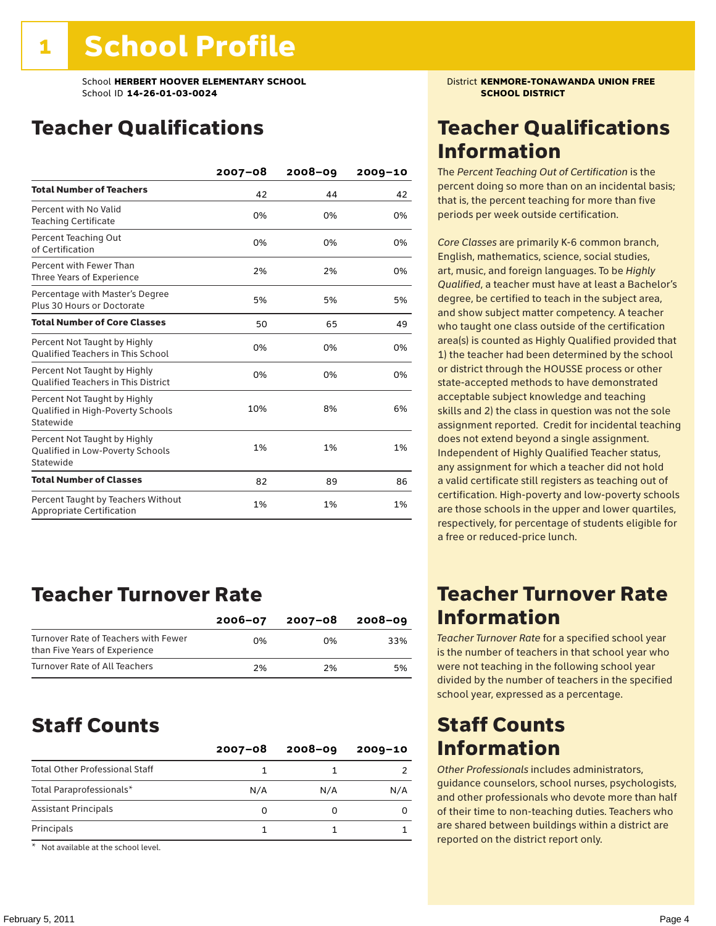### Teacher Qualifications

|                                                                                | $2007 - 08$ | 2008-09 | $2009 - 10$ |
|--------------------------------------------------------------------------------|-------------|---------|-------------|
| <b>Total Number of Teachers</b>                                                | 42          | 44      | 42          |
| Percent with No Valid<br><b>Teaching Certificate</b>                           | 0%          | 0%      | 0%          |
| Percent Teaching Out<br>of Certification                                       | 0%          | 0%      | 0%          |
| Percent with Fewer Than<br>Three Years of Experience                           | 2%          | 2%      | 0%          |
| Percentage with Master's Degree<br>Plus 30 Hours or Doctorate                  | 5%          | 5%      | 5%          |
| <b>Total Number of Core Classes</b>                                            | 50          | 65      | 49          |
| Percent Not Taught by Highly<br><b>Oualified Teachers in This School</b>       | 0%          | 0%      | 0%          |
| Percent Not Taught by Highly<br><b>Oualified Teachers in This District</b>     | 0%          | 0%      | 0%          |
| Percent Not Taught by Highly<br>Qualified in High-Poverty Schools<br>Statewide | 10%         | 8%      | 6%          |
| Percent Not Taught by Highly<br>Qualified in Low-Poverty Schools<br>Statewide  | 1%          | 1%      | 1%          |
| <b>Total Number of Classes</b>                                                 | 82          | 89      | 86          |
| Percent Taught by Teachers Without<br>Appropriate Certification                | 1%          | 1%      | 1%          |

### Teacher Turnover Rate

|                                                                       | $2006 - 07$ | 2007-08 | 2008-09 |
|-----------------------------------------------------------------------|-------------|---------|---------|
| Turnover Rate of Teachers with Fewer<br>than Five Years of Experience | በ%          | በ%      | 33%     |
| Turnover Rate of All Teachers                                         | 2%          | 2%      | 5%      |

### Staff Counts

|                                       | $2007 - 08$ | $2008 - 09$ | $2009 - 10$ |
|---------------------------------------|-------------|-------------|-------------|
| <b>Total Other Professional Staff</b> |             |             |             |
| Total Paraprofessionals*              | N/A         | N/A         | N/A         |
| <b>Assistant Principals</b>           | 0           |             |             |
| Principals                            |             |             |             |
| $-1$                                  |             |             |             |

Not available at the school level.

### Teacher Qualifications Information

The *Percent Teaching Out of Certification* is the percent doing so more than on an incidental basis; that is, the percent teaching for more than five periods per week outside certification.

*Core Classes* are primarily K-6 common branch, English, mathematics, science, social studies, art, music, and foreign languages. To be *Highly Qualified*, a teacher must have at least a Bachelor's degree, be certified to teach in the subject area, and show subject matter competency. A teacher who taught one class outside of the certification area(s) is counted as Highly Qualified provided that 1) the teacher had been determined by the school or district through the HOUSSE process or other state-accepted methods to have demonstrated acceptable subject knowledge and teaching skills and 2) the class in question was not the sole assignment reported. Credit for incidental teaching does not extend beyond a single assignment. Independent of Highly Qualified Teacher status, any assignment for which a teacher did not hold a valid certificate still registers as teaching out of certification. High-poverty and low-poverty schools are those schools in the upper and lower quartiles, respectively, for percentage of students eligible for a free or reduced-price lunch.

### Teacher Turnover Rate Information

*Teacher Turnover Rate* for a specified school year is the number of teachers in that school year who were not teaching in the following school year divided by the number of teachers in the specified school year, expressed as a percentage.

### Staff Counts Information

*Other Professionals* includes administrators, guidance counselors, school nurses, psychologists, and other professionals who devote more than half of their time to non-teaching duties. Teachers who are shared between buildings within a district are reported on the district report only.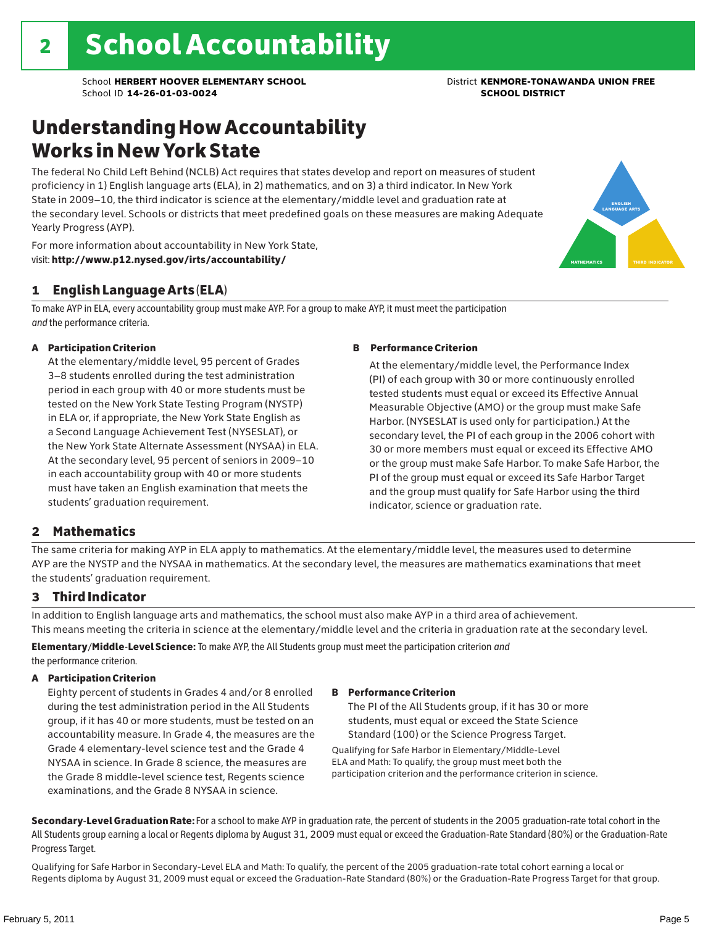### Understanding How Accountability Works in New York State

The federal No Child Left Behind (NCLB) Act requires that states develop and report on measures of student proficiency in 1) English language arts (ELA), in 2) mathematics, and on 3) a third indicator. In New York State in 2009–10, the third indicator is science at the elementary/middle level and graduation rate at the secondary level. Schools or districts that meet predefined goals on these measures are making Adequate Yearly Progress (AYP).



### 1 English Language Arts (ELA)

To make AYP in ELA, every accountability group must make AYP. For a group to make AYP, it must meet the participation *and* the performance criteria.

#### A Participation Criterion

At the elementary/middle level, 95 percent of Grades 3–8 students enrolled during the test administration period in each group with 40 or more students must be tested on the New York State Testing Program (NYSTP) in ELA or, if appropriate, the New York State English as a Second Language Achievement Test (NYSESLAT), or the New York State Alternate Assessment (NYSAA) in ELA. At the secondary level, 95 percent of seniors in 2009–10 in each accountability group with 40 or more students must have taken an English examination that meets the students' graduation requirement.

#### B Performance Criterion

At the elementary/middle level, the Performance Index (PI) of each group with 30 or more continuously enrolled tested students must equal or exceed its Effective Annual Measurable Objective (AMO) or the group must make Safe Harbor. (NYSESLAT is used only for participation.) At the secondary level, the PI of each group in the 2006 cohort with 30 or more members must equal or exceed its Effective AMO or the group must make Safe Harbor. To make Safe Harbor, the PI of the group must equal or exceed its Safe Harbor Target and the group must qualify for Safe Harbor using the third indicator, science or graduation rate.

### 2 Mathematics

The same criteria for making AYP in ELA apply to mathematics. At the elementary/middle level, the measures used to determine AYP are the NYSTP and the NYSAA in mathematics. At the secondary level, the measures are mathematics examinations that meet the students' graduation requirement.

### 3 Third Indicator

In addition to English language arts and mathematics, the school must also make AYP in a third area of achievement. This means meeting the criteria in science at the elementary/middle level and the criteria in graduation rate at the secondary level.

Elementary/Middle-Level Science: To make AYP, the All Students group must meet the participation criterion *and* the performance criterion.

#### A Participation Criterion

Eighty percent of students in Grades 4 and/or 8 enrolled during the test administration period in the All Students group, if it has 40 or more students, must be tested on an accountability measure. In Grade 4, the measures are the Grade 4 elementary-level science test and the Grade 4 NYSAA in science. In Grade 8 science, the measures are the Grade 8 middle-level science test, Regents science examinations, and the Grade 8 NYSAA in science.

#### B Performance Criterion

The PI of the All Students group, if it has 30 or more students, must equal or exceed the State Science Standard (100) or the Science Progress Target.

Qualifying for Safe Harbor in Elementary/Middle-Level ELA and Math: To qualify, the group must meet both the participation criterion and the performance criterion in science.

Secondary-Level Graduation Rate: For a school to make AYP in graduation rate, the percent of students in the 2005 graduation-rate total cohort in the All Students group earning a local or Regents diploma by August 31, 2009 must equal or exceed the Graduation-Rate Standard (80%) or the Graduation-Rate Progress Target.

Qualifying for Safe Harbor in Secondary-Level ELA and Math: To qualify, the percent of the 2005 graduation-rate total cohort earning a local or Regents diploma by August 31, 2009 must equal or exceed the Graduation-Rate Standard (80%) or the Graduation-Rate Progress Target for that group.

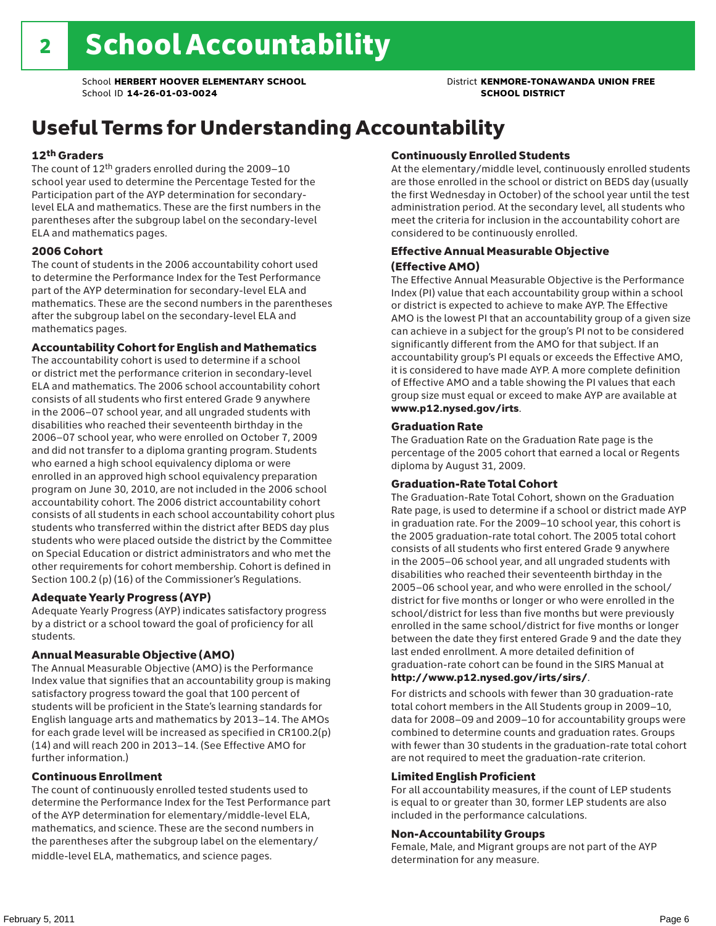## Useful Terms for Understanding Accountability

#### 12th Graders

The count of 12th graders enrolled during the 2009–10 school year used to determine the Percentage Tested for the Participation part of the AYP determination for secondarylevel ELA and mathematics. These are the first numbers in the parentheses after the subgroup label on the secondary-level ELA and mathematics pages.

#### 2006 Cohort

The count of students in the 2006 accountability cohort used to determine the Performance Index for the Test Performance part of the AYP determination for secondary-level ELA and mathematics. These are the second numbers in the parentheses after the subgroup label on the secondary-level ELA and mathematics pages.

#### Accountability Cohort for English and Mathematics

The accountability cohort is used to determine if a school or district met the performance criterion in secondary-level ELA and mathematics. The 2006 school accountability cohort consists of all students who first entered Grade 9 anywhere in the 2006–07 school year, and all ungraded students with disabilities who reached their seventeenth birthday in the 2006–07 school year, who were enrolled on October 7, 2009 and did not transfer to a diploma granting program. Students who earned a high school equivalency diploma or were enrolled in an approved high school equivalency preparation program on June 30, 2010, are not included in the 2006 school accountability cohort. The 2006 district accountability cohort consists of all students in each school accountability cohort plus students who transferred within the district after BEDS day plus students who were placed outside the district by the Committee on Special Education or district administrators and who met the other requirements for cohort membership. Cohort is defined in Section 100.2 (p) (16) of the Commissioner's Regulations.

#### Adequate Yearly Progress (AYP)

Adequate Yearly Progress (AYP) indicates satisfactory progress by a district or a school toward the goal of proficiency for all students.

#### Annual Measurable Objective (AMO)

The Annual Measurable Objective (AMO) is the Performance Index value that signifies that an accountability group is making satisfactory progress toward the goal that 100 percent of students will be proficient in the State's learning standards for English language arts and mathematics by 2013–14. The AMOs for each grade level will be increased as specified in CR100.2(p) (14) and will reach 200 in 2013–14. (See Effective AMO for further information.)

#### Continuous Enrollment

The count of continuously enrolled tested students used to determine the Performance Index for the Test Performance part of the AYP determination for elementary/middle-level ELA, mathematics, and science. These are the second numbers in the parentheses after the subgroup label on the elementary/ middle-level ELA, mathematics, and science pages.

#### Continuously Enrolled Students

At the elementary/middle level, continuously enrolled students are those enrolled in the school or district on BEDS day (usually the first Wednesday in October) of the school year until the test administration period. At the secondary level, all students who meet the criteria for inclusion in the accountability cohort are considered to be continuously enrolled.

#### Effective Annual Measurable Objective (Effective AMO)

The Effective Annual Measurable Objective is the Performance Index (PI) value that each accountability group within a school or district is expected to achieve to make AYP. The Effective AMO is the lowest PI that an accountability group of a given size can achieve in a subject for the group's PI not to be considered significantly different from the AMO for that subject. If an accountability group's PI equals or exceeds the Effective AMO, it is considered to have made AYP. A more complete definition of Effective AMO and a table showing the PI values that each group size must equal or exceed to make AYP are available at www.p12.nysed.gov/irts.

#### Graduation Rate

The Graduation Rate on the Graduation Rate page is the percentage of the 2005 cohort that earned a local or Regents diploma by August 31, 2009.

#### Graduation-Rate Total Cohort

The Graduation-Rate Total Cohort, shown on the Graduation Rate page, is used to determine if a school or district made AYP in graduation rate. For the 2009–10 school year, this cohort is the 2005 graduation-rate total cohort. The 2005 total cohort consists of all students who first entered Grade 9 anywhere in the 2005–06 school year, and all ungraded students with disabilities who reached their seventeenth birthday in the 2005–06 school year, and who were enrolled in the school/ district for five months or longer or who were enrolled in the school/district for less than five months but were previously enrolled in the same school/district for five months or longer between the date they first entered Grade 9 and the date they last ended enrollment. A more detailed definition of graduation-rate cohort can be found in the SIRS Manual at

#### http://www.p12.nysed.gov/irts/sirs/.

For districts and schools with fewer than 30 graduation-rate total cohort members in the All Students group in 2009–10, data for 2008–09 and 2009–10 for accountability groups were combined to determine counts and graduation rates. Groups with fewer than 30 students in the graduation-rate total cohort are not required to meet the graduation-rate criterion.

#### Limited English Proficient

For all accountability measures, if the count of LEP students is equal to or greater than 30, former LEP students are also included in the performance calculations.

#### Non-Accountability Groups

Female, Male, and Migrant groups are not part of the AYP determination for any measure.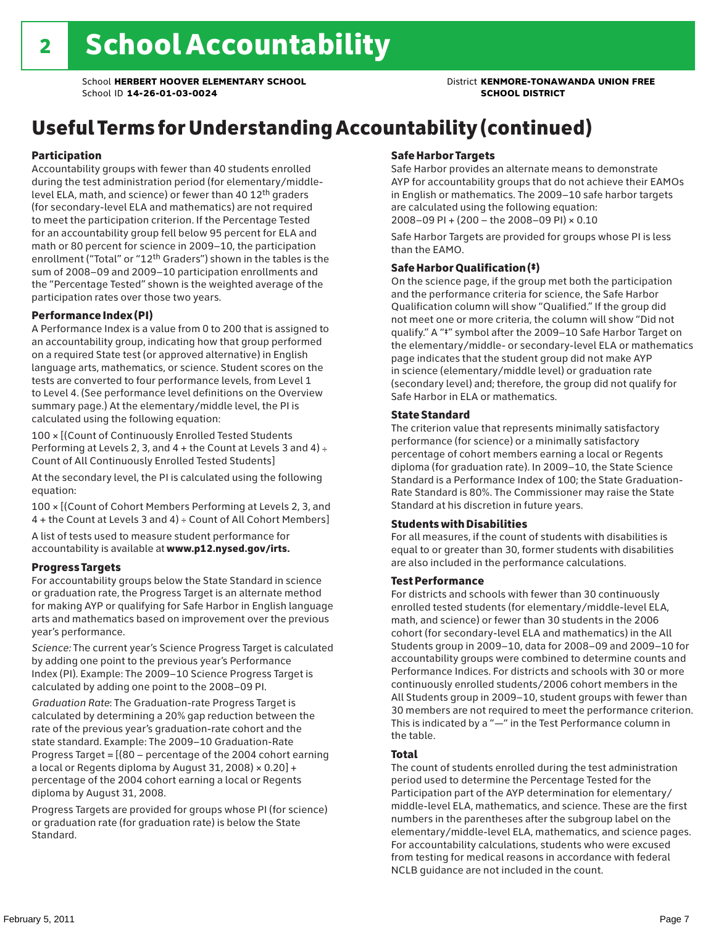# Useful Terms for Understanding Accountability (continued)

#### Participation

Accountability groups with fewer than 40 students enrolled during the test administration period (for elementary/middlelevel ELA, math, and science) or fewer than 40 12th graders (for secondary-level ELA and mathematics) are not required to meet the participation criterion. If the Percentage Tested for an accountability group fell below 95 percent for ELA and math or 80 percent for science in 2009–10, the participation enrollment ("Total" or "12th Graders") shown in the tables is the sum of 2008–09 and 2009–10 participation enrollments and the "Percentage Tested" shown is the weighted average of the participation rates over those two years.

#### Performance Index (PI)

A Performance Index is a value from 0 to 200 that is assigned to an accountability group, indicating how that group performed on a required State test (or approved alternative) in English language arts, mathematics, or science. Student scores on the tests are converted to four performance levels, from Level 1 to Level 4. (See performance level definitions on the Overview summary page.) At the elementary/middle level, the PI is calculated using the following equation:

100 × [(Count of Continuously Enrolled Tested Students Performing at Levels 2, 3, and  $4 +$  the Count at Levels 3 and  $4) \div$ Count of All Continuously Enrolled Tested Students]

At the secondary level, the PI is calculated using the following equation:

100 × [(Count of Cohort Members Performing at Levels 2, 3, and 4 + the Count at Levels 3 and 4) ÷ Count of All Cohort Members]

A list of tests used to measure student performance for accountability is available at www.p12.nysed.gov/irts.

#### Progress Targets

For accountability groups below the State Standard in science or graduation rate, the Progress Target is an alternate method for making AYP or qualifying for Safe Harbor in English language arts and mathematics based on improvement over the previous year's performance.

*Science:* The current year's Science Progress Target is calculated by adding one point to the previous year's Performance Index (PI). Example: The 2009–10 Science Progress Target is calculated by adding one point to the 2008–09 PI.

*Graduation Rate*: The Graduation-rate Progress Target is calculated by determining a 20% gap reduction between the rate of the previous year's graduation-rate cohort and the state standard. Example: The 2009–10 Graduation-Rate Progress Target = [(80 – percentage of the 2004 cohort earning a local or Regents diploma by August 31, 2008)  $\times$  0.20] + percentage of the 2004 cohort earning a local or Regents diploma by August 31, 2008.

Progress Targets are provided for groups whose PI (for science) or graduation rate (for graduation rate) is below the State Standard.

#### Safe Harbor Targets

Safe Harbor provides an alternate means to demonstrate AYP for accountability groups that do not achieve their EAMOs in English or mathematics. The 2009–10 safe harbor targets are calculated using the following equation: 2008–09 PI + (200 – the 2008–09 PI) × 0.10

Safe Harbor Targets are provided for groups whose PI is less than the EAMO.

#### Safe Harbor Qualification (‡)

On the science page, if the group met both the participation and the performance criteria for science, the Safe Harbor Qualification column will show "Qualified." If the group did not meet one or more criteria, the column will show "Did not qualify." A "‡" symbol after the 2009–10 Safe Harbor Target on the elementary/middle- or secondary-level ELA or mathematics page indicates that the student group did not make AYP in science (elementary/middle level) or graduation rate (secondary level) and; therefore, the group did not qualify for Safe Harbor in ELA or mathematics.

#### State Standard

The criterion value that represents minimally satisfactory performance (for science) or a minimally satisfactory percentage of cohort members earning a local or Regents diploma (for graduation rate). In 2009–10, the State Science Standard is a Performance Index of 100; the State Graduation-Rate Standard is 80%. The Commissioner may raise the State Standard at his discretion in future years.

#### Students with Disabilities

For all measures, if the count of students with disabilities is equal to or greater than 30, former students with disabilities are also included in the performance calculations.

#### Test Performance

For districts and schools with fewer than 30 continuously enrolled tested students (for elementary/middle-level ELA, math, and science) or fewer than 30 students in the 2006 cohort (for secondary-level ELA and mathematics) in the All Students group in 2009–10, data for 2008–09 and 2009–10 for accountability groups were combined to determine counts and Performance Indices. For districts and schools with 30 or more continuously enrolled students/2006 cohort members in the All Students group in 2009–10, student groups with fewer than 30 members are not required to meet the performance criterion. This is indicated by a "—" in the Test Performance column in the table.

#### Total

The count of students enrolled during the test administration period used to determine the Percentage Tested for the Participation part of the AYP determination for elementary/ middle-level ELA, mathematics, and science. These are the first numbers in the parentheses after the subgroup label on the elementary/middle-level ELA, mathematics, and science pages. For accountability calculations, students who were excused from testing for medical reasons in accordance with federal NCLB guidance are not included in the count.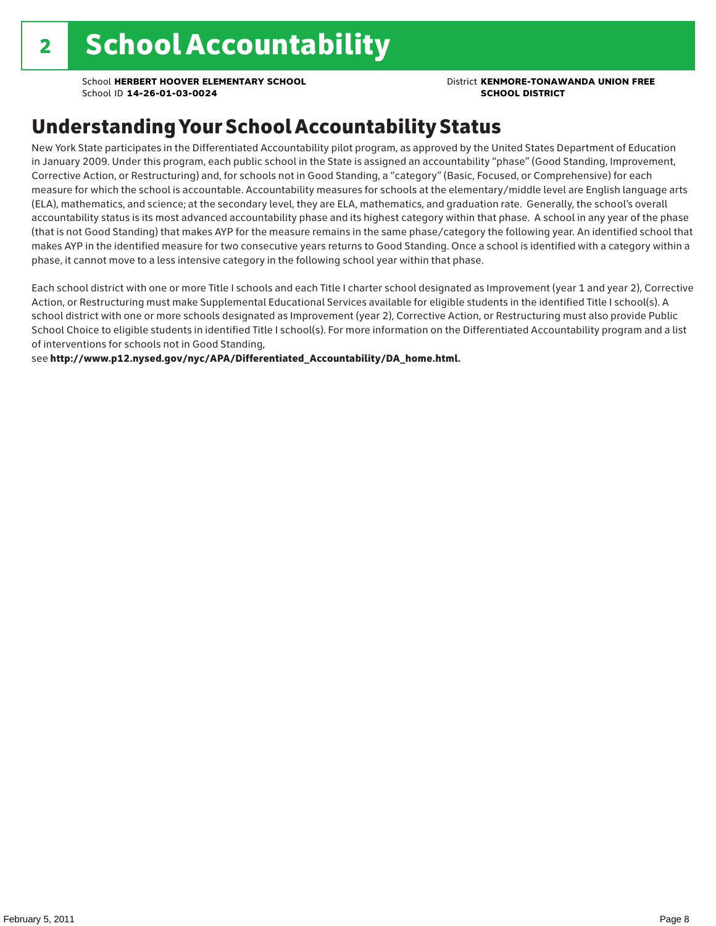### Understanding Your School Accountability Status

New York State participates in the Differentiated Accountability pilot program, as approved by the United States Department of Education in January 2009. Under this program, each public school in the State is assigned an accountability "phase" (Good Standing, Improvement, Corrective Action, or Restructuring) and, for schools not in Good Standing, a "category" (Basic, Focused, or Comprehensive) for each measure for which the school is accountable. Accountability measures for schools at the elementary/middle level are English language arts (ELA), mathematics, and science; at the secondary level, they are ELA, mathematics, and graduation rate. Generally, the school's overall accountability status is its most advanced accountability phase and its highest category within that phase. A school in any year of the phase (that is not Good Standing) that makes AYP for the measure remains in the same phase/category the following year. An identified school that makes AYP in the identified measure for two consecutive years returns to Good Standing. Once a school is identified with a category within a phase, it cannot move to a less intensive category in the following school year within that phase.

Each school district with one or more Title I schools and each Title I charter school designated as Improvement (year 1 and year 2), Corrective Action, or Restructuring must make Supplemental Educational Services available for eligible students in the identified Title I school(s). A school district with one or more schools designated as Improvement (year 2), Corrective Action, or Restructuring must also provide Public School Choice to eligible students in identified Title I school(s). For more information on the Differentiated Accountability program and a list of interventions for schools not in Good Standing,

see http://www.p12.nysed.gov/nyc/APA/Differentiated\_Accountability/DA\_home.html.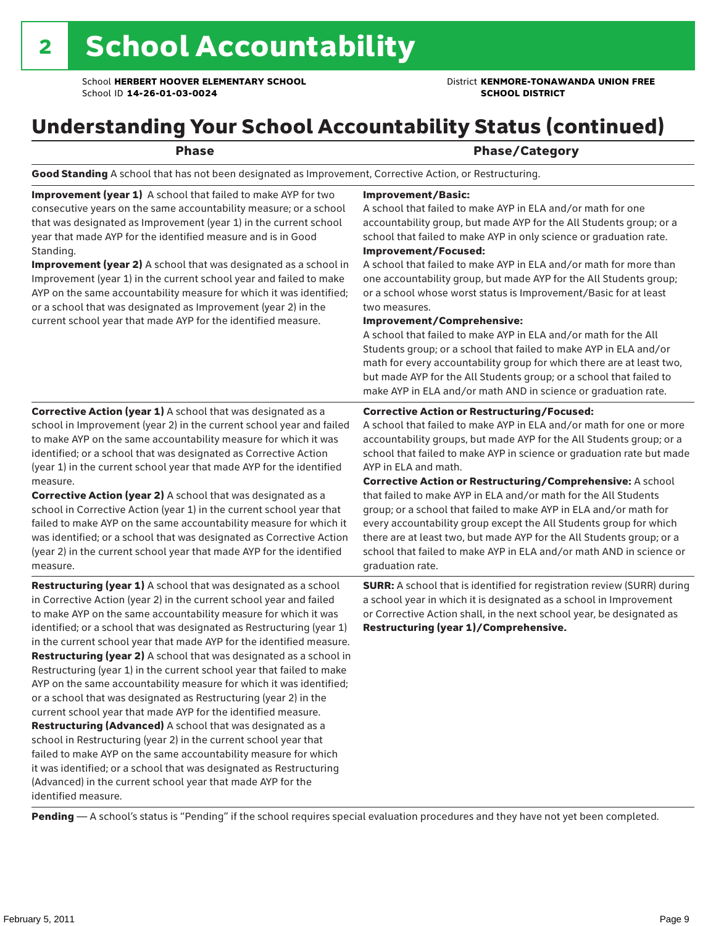### Understanding Your School Accountability Status (continued)

Phase **Phase** Phase/Category

Good Standing A school that has not been designated as Improvement, Corrective Action, or Restructuring.

Improvement (year 1) A school that failed to make AYP for two consecutive years on the same accountability measure; or a school that was designated as Improvement (year 1) in the current school year that made AYP for the identified measure and is in Good Standing.

Improvement (year 2) A school that was designated as a school in Improvement (year 1) in the current school year and failed to make AYP on the same accountability measure for which it was identified; or a school that was designated as Improvement (year 2) in the current school year that made AYP for the identified measure.

Corrective Action (year 1) A school that was designated as a school in Improvement (year 2) in the current school year and failed to make AYP on the same accountability measure for which it was identified; or a school that was designated as Corrective Action (year 1) in the current school year that made AYP for the identified

#### Improvement/Basic:

A school that failed to make AYP in ELA and/or math for one accountability group, but made AYP for the All Students group; or a school that failed to make AYP in only science or graduation rate. Improvement/Focused:

A school that failed to make AYP in ELA and/or math for more than one accountability group, but made AYP for the All Students group; or a school whose worst status is Improvement/Basic for at least two measures.

#### Improvement/Comprehensive:

A school that failed to make AYP in ELA and/or math for the All Students group; or a school that failed to make AYP in ELA and/or math for every accountability group for which there are at least two, but made AYP for the All Students group; or a school that failed to make AYP in ELA and/or math AND in science or graduation rate.

#### Corrective Action or Restructuring/Focused:

A school that failed to make AYP in ELA and/or math for one or more accountability groups, but made AYP for the All Students group; or a school that failed to make AYP in science or graduation rate but made AYP in ELA and math.

measure. Corrective Action (year 2) A school that was designated as a school in Corrective Action (year 1) in the current school year that failed to make AYP on the same accountability measure for which it was identified; or a school that was designated as Corrective Action (year 2) in the current school year that made AYP for the identified measure.

Restructuring (year 1) A school that was designated as a school in Corrective Action (year 2) in the current school year and failed to make AYP on the same accountability measure for which it was identified; or a school that was designated as Restructuring (year 1) in the current school year that made AYP for the identified measure. Restructuring (year 2) A school that was designated as a school in Restructuring (year 1) in the current school year that failed to make AYP on the same accountability measure for which it was identified; or a school that was designated as Restructuring (year 2) in the current school year that made AYP for the identified measure. Restructuring (Advanced) A school that was designated as a school in Restructuring (year 2) in the current school year that failed to make AYP on the same accountability measure for which it was identified; or a school that was designated as Restructuring (Advanced) in the current school year that made AYP for the identified measure.

Corrective Action or Restructuring/Comprehensive: A school that failed to make AYP in ELA and/or math for the All Students group; or a school that failed to make AYP in ELA and/or math for every accountability group except the All Students group for which there are at least two, but made AYP for the All Students group; or a school that failed to make AYP in ELA and/or math AND in science or graduation rate.

SURR: A school that is identified for registration review (SURR) during a school year in which it is designated as a school in Improvement or Corrective Action shall, in the next school year, be designated as Restructuring (year 1)/Comprehensive.

Pending - A school's status is "Pending" if the school requires special evaluation procedures and they have not yet been completed.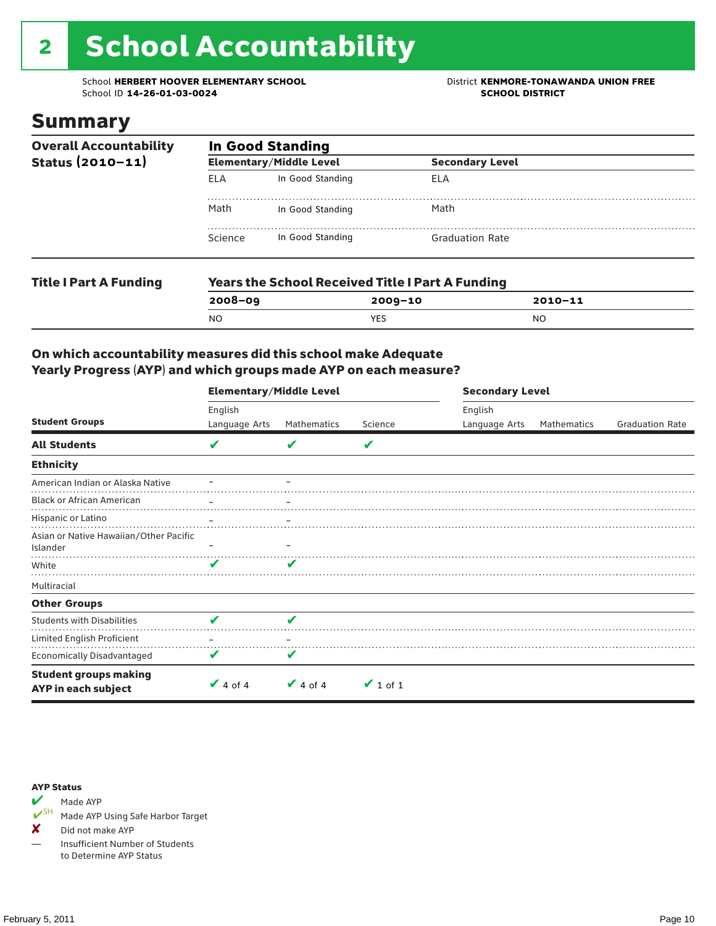# 2 School Accountability

School **HERBERT HOOVER ELEMENTARY SCHOOL** District **KENMORE-TONAWANDA UNION FREE**<br>School ID 14-26-01-03-0024 **District** School ID 14-26-01-03-0024 School ID **14-26-01-03-0024** 

### Summary

| <b>Overall Accountability</b><br>Status $(2010 - 11)$ | <b>In Good Standing</b> |                                                   |                        |  |  |  |
|-------------------------------------------------------|-------------------------|---------------------------------------------------|------------------------|--|--|--|
|                                                       |                         | <b>Elementary/Middle Level</b>                    | <b>Secondary Level</b> |  |  |  |
|                                                       | ELA                     | In Good Standing                                  | ELA                    |  |  |  |
|                                                       | Math                    | In Good Standing                                  | Math                   |  |  |  |
|                                                       | Science                 | In Good Standing                                  | <b>Graduation Rate</b> |  |  |  |
| The Library A. Frontiers                              |                         | Monus the Cabool Boostical Title I Bout A Funding |                        |  |  |  |

| <b>Years the School Received Title I Part A Funding</b> |         |             |  |  |  |  |
|---------------------------------------------------------|---------|-------------|--|--|--|--|
| $2008 - 09$                                             | 2009-10 | $2010 - 11$ |  |  |  |  |
| N <sub>O</sub>                                          | YES     | NO          |  |  |  |  |
|                                                         |         |             |  |  |  |  |

### On which accountability measures did this school make Adequate Yearly Progress (AYP) and which groups made AYP on each measure?

|                                                     | <b>Elementary/Middle Level</b> |               |               | <b>Secondary Level</b> |             |                        |  |
|-----------------------------------------------------|--------------------------------|---------------|---------------|------------------------|-------------|------------------------|--|
|                                                     | English                        |               |               | English                |             |                        |  |
| <b>Student Groups</b>                               | Language Arts                  | Mathematics   | Science       | Language Arts          | Mathematics | <b>Graduation Rate</b> |  |
| <b>All Students</b>                                 | V                              | v             | V             |                        |             |                        |  |
| <b>Ethnicity</b>                                    |                                |               |               |                        |             |                        |  |
| American Indian or Alaska Native                    |                                |               |               |                        |             |                        |  |
| <b>Black or African American</b>                    |                                |               |               |                        |             |                        |  |
| Hispanic or Latino                                  |                                |               |               |                        |             |                        |  |
| Asian or Native Hawaiian/Other Pacific<br>Islander  |                                |               |               |                        |             |                        |  |
| White                                               | V                              |               |               |                        |             |                        |  |
| Multiracial                                         |                                |               |               |                        |             |                        |  |
| <b>Other Groups</b>                                 |                                |               |               |                        |             |                        |  |
| <b>Students with Disabilities</b>                   | $\overline{\mathbf{v}}$        | J             |               |                        |             |                        |  |
| Limited English Proficient                          |                                |               |               |                        |             |                        |  |
| <b>Economically Disadvantaged</b>                   | v                              |               |               |                        |             |                        |  |
| <b>Student groups making</b><br>AYP in each subject | $\vee$ 4 of 4                  | $\vee$ 4 of 4 | $\vee$ 1 of 1 |                        |             |                        |  |



Made AYP Using Safe Harbor Target

✘ Did not make AYP

— Insufficient Number of Students to Determine AYP Status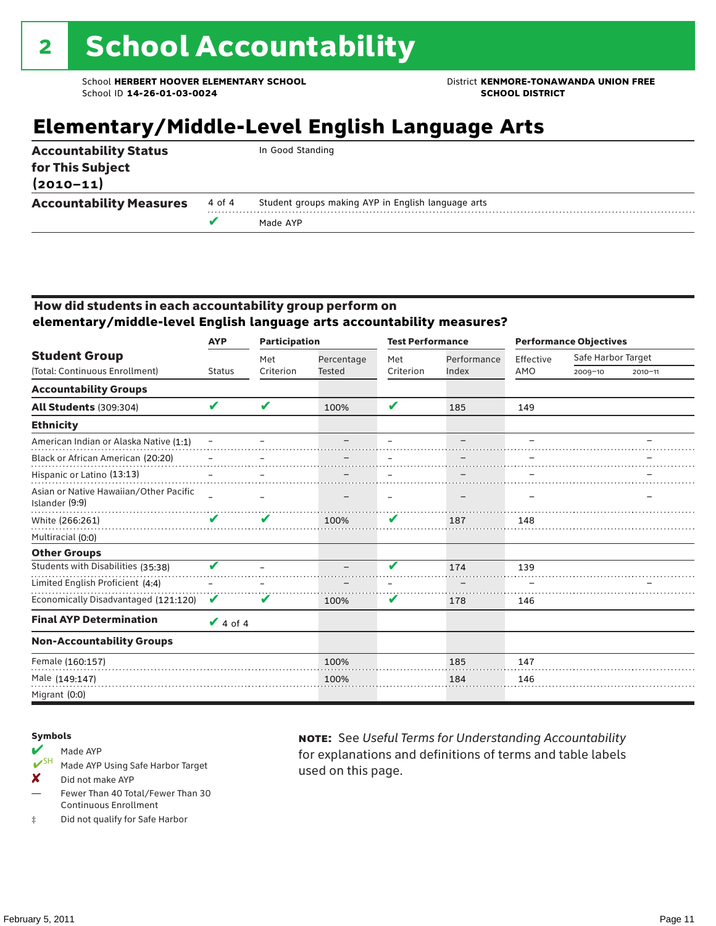## **Elementary/Middle-Level English Language Arts**

| <b>Accountability Status</b><br>for This Subject<br>$(2010 - 11)$ |        | In Good Standing                                   |
|-------------------------------------------------------------------|--------|----------------------------------------------------|
| <b>Accountability Measures</b>                                    | 4 of 4 | Student groups making AYP in English language arts |
|                                                                   |        | Made AYP                                           |
|                                                                   |        |                                                    |

#### How did students in each accountability group perform on **elementary/middle-level English language arts accountability measures?**

|                                                          | <b>AYP</b>    | <b>Participation</b> |               | <b>Test Performance</b> |             | <b>Performance Objectives</b> |                    |             |
|----------------------------------------------------------|---------------|----------------------|---------------|-------------------------|-------------|-------------------------------|--------------------|-------------|
| <b>Student Group</b>                                     |               | Met                  | Percentage    | Met                     | Performance | Effective                     | Safe Harbor Target |             |
| (Total: Continuous Enrollment)                           | <b>Status</b> | Criterion            | <b>Tested</b> | Criterion               | Index       | AMO                           | 2009-10            | $2010 - 11$ |
| <b>Accountability Groups</b>                             |               |                      |               |                         |             |                               |                    |             |
| <b>All Students (309:304)</b>                            | V             | V                    | 100%          | V                       | 185         | 149                           |                    |             |
| <b>Ethnicity</b>                                         |               |                      |               |                         |             |                               |                    |             |
| American Indian or Alaska Native (1:1)                   |               |                      |               |                         |             |                               |                    |             |
| Black or African American (20:20)                        |               |                      |               |                         |             |                               |                    |             |
| Hispanic or Latino (13:13)                               |               |                      |               |                         |             |                               |                    |             |
| Asian or Native Hawaiian/Other Pacific<br>Islander (9:9) |               |                      |               |                         |             |                               |                    |             |
| White (266:261)                                          | V             | V                    | 100%          | V                       | 187         | 148                           |                    |             |
| Multiracial (0:0)                                        |               |                      |               |                         |             |                               |                    |             |
| <b>Other Groups</b>                                      |               |                      |               |                         |             |                               |                    |             |
| Students with Disabilities (35:38)                       | V             |                      |               | v                       | 174         | 139                           |                    |             |
| Limited English Proficient (4:4)                         |               |                      |               |                         |             |                               |                    |             |
| Economically Disadvantaged (121:120)                     | V             | V                    | 100%          | V                       | 178         | 146                           |                    |             |
| <b>Final AYP Determination</b>                           | $\vee$ 4 of 4 |                      |               |                         |             |                               |                    |             |
| <b>Non-Accountability Groups</b>                         |               |                      |               |                         |             |                               |                    |             |
| Female (160:157)                                         |               |                      | 100%          |                         | 185         | 147                           |                    |             |
| Male (149:147)                                           |               |                      | 100%          |                         | 184         | 146                           |                    |             |
| Migrant (0:0)                                            |               |                      |               |                         |             |                               |                    |             |

#### Symbols

- Made AYP<br> **V**SH Made AVP Made AYP Using Safe Harbor Target
- X Did not make AYP
- Fewer Than 40 Total/Fewer Than 30 Continuous Enrollment
- ‡ Did not qualify for Safe Harbor

note: See *Useful Terms for Understanding Accountability*  for explanations and definitions of terms and table labels used on this page.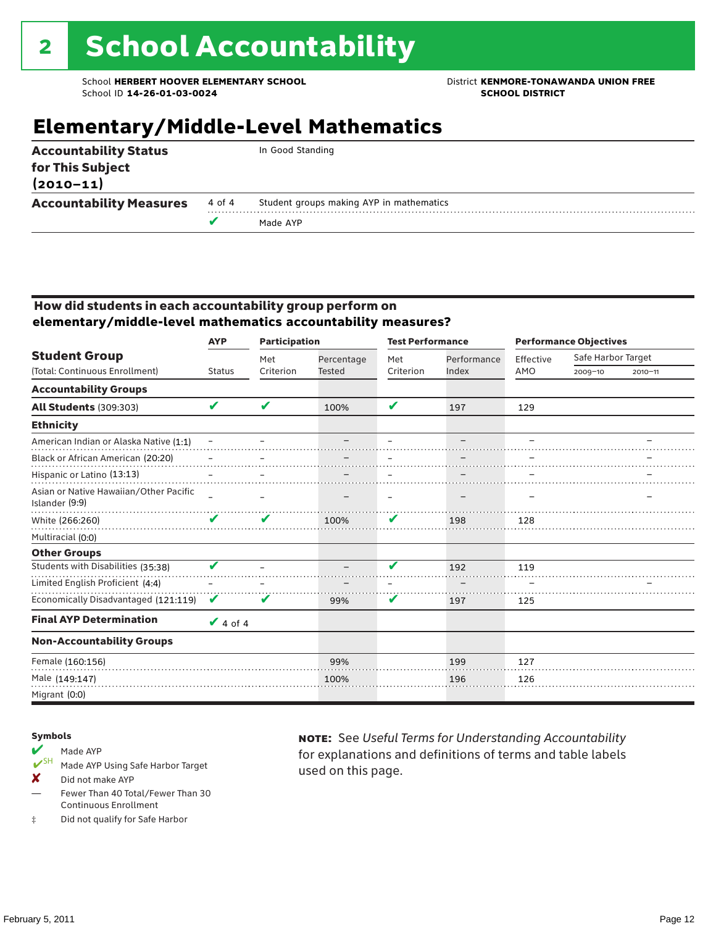### **Elementary/Middle-Level Mathematics**

| <b>Accountability Status</b><br>for This Subject<br>$(2010 - 11)$ |        | In Good Standing                         |
|-------------------------------------------------------------------|--------|------------------------------------------|
| <b>Accountability Measures</b>                                    | 4 of 4 | Student groups making AYP in mathematics |
|                                                                   |        | Made AYP                                 |
|                                                                   |        |                                          |

#### How did students in each accountability group perform on **elementary/middle-level mathematics accountability measures?**

|                                                          | <b>AYP</b>    | <b>Participation</b> |               | <b>Test Performance</b> |             |           | <b>Performance Objectives</b> |             |  |
|----------------------------------------------------------|---------------|----------------------|---------------|-------------------------|-------------|-----------|-------------------------------|-------------|--|
| <b>Student Group</b>                                     |               | Met                  | Percentage    | Met                     | Performance | Effective | Safe Harbor Target            |             |  |
| (Total: Continuous Enrollment)                           | <b>Status</b> | Criterion            | <b>Tested</b> | Criterion               | Index       | AMO       | $2009 - 10$                   | $2010 - 11$ |  |
| <b>Accountability Groups</b>                             |               |                      |               |                         |             |           |                               |             |  |
| <b>All Students (309:303)</b>                            | V             | V                    | 100%          | V                       | 197         | 129       |                               |             |  |
| <b>Ethnicity</b>                                         |               |                      |               |                         |             |           |                               |             |  |
| American Indian or Alaska Native (1:1)                   |               |                      |               |                         |             |           |                               |             |  |
| Black or African American (20:20)                        |               |                      |               |                         |             |           |                               |             |  |
| Hispanic or Latino (13:13)                               |               |                      |               |                         |             |           |                               |             |  |
| Asian or Native Hawaiian/Other Pacific<br>Islander (9:9) |               |                      |               |                         |             |           |                               |             |  |
| White (266:260)                                          | V             | V                    | 100%          | V                       | 198         | 128       |                               |             |  |
| Multiracial (0:0)                                        |               |                      |               |                         |             |           |                               |             |  |
| <b>Other Groups</b>                                      |               |                      |               |                         |             |           |                               |             |  |
| Students with Disabilities (35:38)                       | V             |                      |               | v                       | 192         | 119       |                               |             |  |
| Limited English Proficient (4:4)                         |               |                      |               |                         |             |           |                               |             |  |
| Economically Disadvantaged (121:119)                     | V             | v                    | 99%           | V                       | 197         | 125       |                               |             |  |
| <b>Final AYP Determination</b>                           | $\vee$ 4 of 4 |                      |               |                         |             |           |                               |             |  |
| <b>Non-Accountability Groups</b>                         |               |                      |               |                         |             |           |                               |             |  |
| Female (160:156)                                         |               |                      | 99%           |                         | 199         | 127       |                               |             |  |
| Male (149:147)                                           |               |                      | 100%          |                         | 196         | 126       |                               |             |  |
| Migrant (0:0)                                            |               |                      |               |                         |             |           |                               |             |  |

#### Symbols

- Made AYP<br> **V**SH Made AVP Made AYP Using Safe Harbor Target
- X Did not make AYP
- Fewer Than 40 Total/Fewer Than 30 Continuous Enrollment
- ‡ Did not qualify for Safe Harbor

note: See *Useful Terms for Understanding Accountability*  for explanations and definitions of terms and table labels used on this page.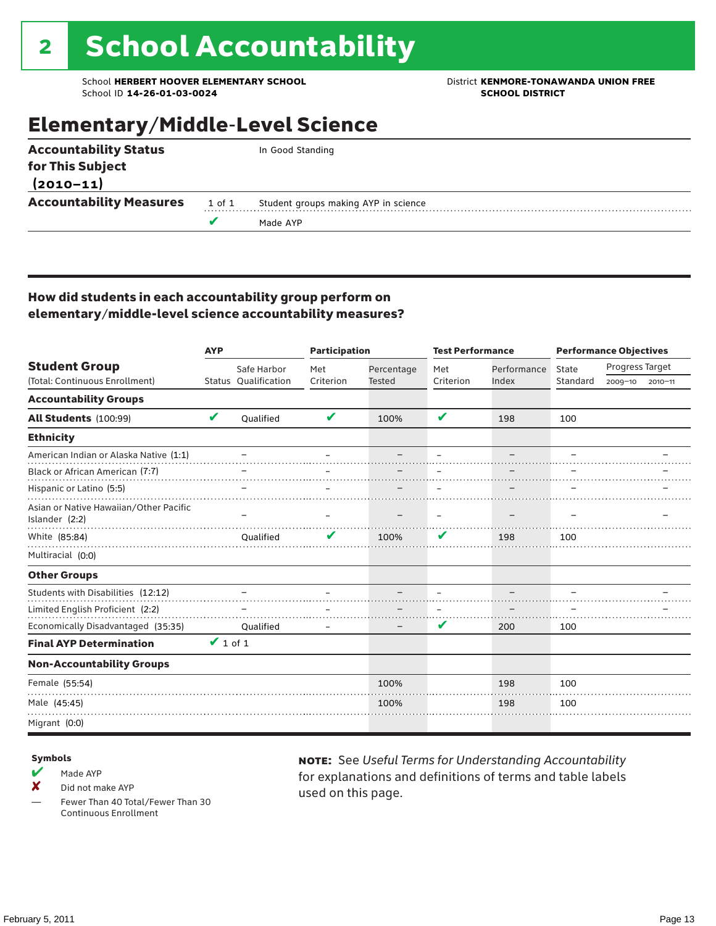# 2 School Accountability

School **HERBERT HOOVER ELEMENTARY SCHOOL** District **KENMORE-TONAWANDA UNION FREE**<br>School ID 14-26-01-03-0024 **District SCHOOL DISTRICT** School ID **14-26-01-03-0024** 

## Elementary/Middle-Level Science

| <b>Accountability Status</b>   |        | In Good Standing                     |
|--------------------------------|--------|--------------------------------------|
| for This Subject               |        |                                      |
| $(2010 - 11)$                  |        |                                      |
| <b>Accountability Measures</b> | 1 of 1 | Student groups making AYP in science |
|                                |        | Made AYP                             |
|                                |        |                                      |

### How did students in each accountability group perform on elementary/middle-level science accountability measures?

|                                                          | <b>AYP</b>    |                      |           | <b>Participation</b> |           | <b>Test Performance</b> | <b>Performance Objectives</b> |                 |         |
|----------------------------------------------------------|---------------|----------------------|-----------|----------------------|-----------|-------------------------|-------------------------------|-----------------|---------|
| <b>Student Group</b>                                     |               | Safe Harbor          | Met       | Percentage           | Met       | Performance             | State                         | Progress Target |         |
| (Total: Continuous Enrollment)                           |               | Status Qualification | Criterion | <b>Tested</b>        | Criterion | Index                   | Standard                      | 2009-10         | 2010-11 |
| <b>Accountability Groups</b>                             |               |                      |           |                      |           |                         |                               |                 |         |
| All Students (100:99)                                    | V             | Oualified            | V         | 100%                 | V         | 198                     | 100                           |                 |         |
| <b>Ethnicity</b>                                         |               |                      |           |                      |           |                         |                               |                 |         |
| American Indian or Alaska Native (1:1)                   |               |                      |           |                      |           |                         |                               |                 |         |
| Black or African American (7:7)                          |               |                      |           |                      |           |                         |                               |                 |         |
| Hispanic or Latino (5:5)                                 |               |                      |           |                      |           |                         |                               |                 |         |
| Asian or Native Hawaiian/Other Pacific<br>Islander (2:2) |               |                      |           |                      |           |                         |                               |                 |         |
| White (85:84)                                            |               | Oualified            |           | 100%                 | V         | 198                     | 100                           |                 |         |
| Multiracial (0:0)                                        |               |                      |           |                      |           |                         |                               |                 |         |
| <b>Other Groups</b>                                      |               |                      |           |                      |           |                         |                               |                 |         |
| Students with Disabilities (12:12)                       |               |                      |           |                      |           |                         |                               |                 |         |
| Limited English Proficient (2:2)                         |               |                      |           |                      |           |                         |                               |                 |         |
| Economically Disadvantaged (35:35)                       |               | Qualified            |           |                      | V         | 200                     | 100                           |                 |         |
| <b>Final AYP Determination</b>                           | $\vee$ 1 of 1 |                      |           |                      |           |                         |                               |                 |         |
| <b>Non-Accountability Groups</b>                         |               |                      |           |                      |           |                         |                               |                 |         |
| Female (55:54)                                           |               |                      |           | 100%                 |           | 198                     | 100                           |                 |         |
| Male (45:45)                                             |               |                      |           | 100%                 |           | 198                     | 100                           |                 |         |
| Migrant (0:0)                                            |               |                      |           |                      |           |                         |                               |                 |         |

#### Symbols

- $M$  Made AYP
- X Did not make AYP
- Fewer Than 40 Total/Fewer Than 30 Continuous Enrollment

note: See *Useful Terms for Understanding Accountability*  for explanations and definitions of terms and table labels used on this page.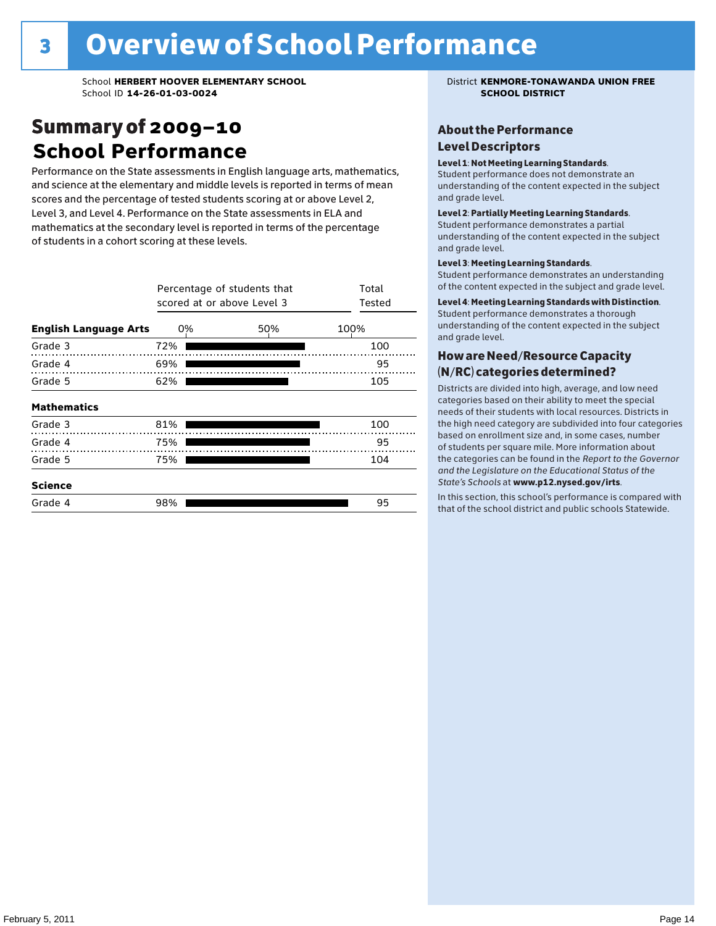### Summary of 2009–10 **School Performance**

Performance on the State assessments in English language arts, mathematics, and science at the elementary and middle levels is reported in terms of mean scores and the percentage of tested students scoring at or above Level 2, Level 3, and Level 4. Performance on the State assessments in ELA and mathematics at the secondary level is reported in terms of the percentage of students in a cohort scoring at these levels.

|                              | Percentage of students that<br>scored at or above Level 3 | Total<br>Tested |      |
|------------------------------|-----------------------------------------------------------|-----------------|------|
| <b>English Language Arts</b> | 0%                                                        | 50%             | 100% |
| Grade 3                      | 72%                                                       |                 | 100  |
| Grade 4                      | 69%                                                       |                 | 95   |
| Grade 5                      | 62%                                                       |                 | 105  |
| <b>Mathematics</b>           |                                                           |                 |      |
| Grade 3                      | 81%                                                       |                 | 100  |
| Grade 4                      | 75%                                                       |                 | 95   |
| Grade 5                      | 75%                                                       |                 | 104  |
| <b>Science</b>               |                                                           |                 |      |
| Grade 4                      | 98%                                                       |                 | 95   |

#### About the Performance Level Descriptors

#### Level 1: Not Meeting Learning Standards.

Student performance does not demonstrate an understanding of the content expected in the subject and grade level.

#### Level 2: Partially Meeting Learning Standards.

Student performance demonstrates a partial understanding of the content expected in the subject and grade level.

#### Level 3: Meeting Learning Standards.

Student performance demonstrates an understanding of the content expected in the subject and grade level.

#### Level 4: Meeting Learning Standards with Distinction.

Student performance demonstrates a thorough understanding of the content expected in the subject and grade level.

### How are Need/Resource Capacity (N/RC) categories determined?

Districts are divided into high, average, and low need categories based on their ability to meet the special needs of their students with local resources. Districts in the high need category are subdivided into four categories based on enrollment size and, in some cases, number of students per square mile. More information about the categories can be found in the *Report to the Governor and the Legislature on the Educational Status of the*  State's Schools at www.p12.nysed.gov/irts.

In this section, this school's performance is compared with<br>that of the school district and multigarhaals Statemide In this section, this school's performance is compared that of the school district and public schools Statewide.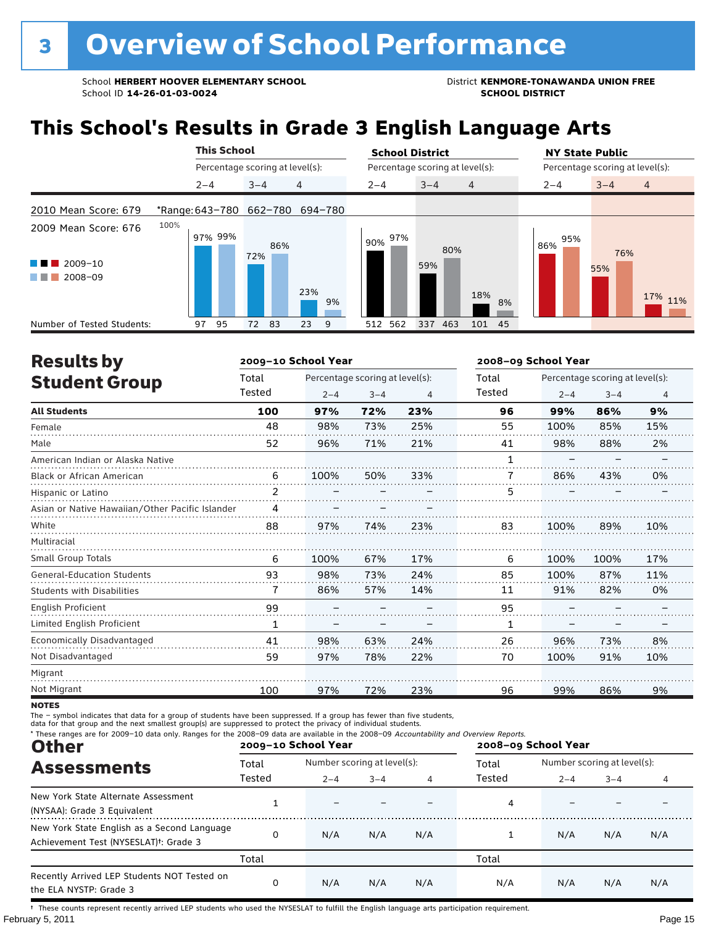## **This School's Results in Grade 3 English Language Arts**

|                                                           | <b>This School</b> |                                 | <b>School District</b>                | <b>NY State Public</b>               |  |  |
|-----------------------------------------------------------|--------------------|---------------------------------|---------------------------------------|--------------------------------------|--|--|
|                                                           |                    | Percentage scoring at level(s): | Percentage scoring at level(s):       | Percentage scoring at level(s):      |  |  |
|                                                           | $2 - 4$            | 4<br>$3 - 4$                    | $2 - 4$<br>$3 - 4$<br>$\overline{4}$  | $\overline{4}$<br>$2 - 4$<br>$3 - 4$ |  |  |
| 2010 Mean Score: 679                                      |                    | *Range: 643-780 662-780 694-780 |                                       |                                      |  |  |
| 2009 Mean Score: 676<br>$2009 - 10$<br>a sa na<br>2008-09 | 100%<br>97% 99%    | 86%<br>72%<br>23%<br>9%         | 97%<br>90%<br>80%<br>59%<br>18%<br>8% | 95%<br>86%<br>76%<br>55%<br>17% 11%  |  |  |
| Number of Tested Students:                                | 95<br>97           | 83<br>23<br>72<br>9             | 512 562<br>337<br>463<br>101 45       |                                      |  |  |

| <b>Results by</b>                               |        | 2009-10 School Year |                                 |     | 2008-09 School Year |         |                                 |                |
|-------------------------------------------------|--------|---------------------|---------------------------------|-----|---------------------|---------|---------------------------------|----------------|
| <b>Student Group</b>                            | Total  |                     | Percentage scoring at level(s): |     | Total               |         | Percentage scoring at level(s): |                |
|                                                 | Tested | $2 - 4$             | $3 - 4$                         | 4   | <b>Tested</b>       | $2 - 4$ | $3 - 4$                         | $\overline{4}$ |
| <b>All Students</b>                             | 100    | 97%                 | 72%                             | 23% | 96                  | 99%     | 86%                             | 9%             |
| Female                                          | 48     | 98%                 | 73%                             | 25% | 55                  | 100%    | 85%                             | 15%            |
| Male                                            | 52     | 96%                 | 71%                             | 21% | 41                  | 98%     | 88%                             | 2%             |
| American Indian or Alaska Native                |        |                     |                                 |     | 1                   |         |                                 |                |
| <b>Black or African American</b>                | 6      | 100%                | 50%                             | 33% | 7                   | 86%     | 43%                             | 0%             |
| Hispanic or Latino                              | 2      |                     |                                 |     | 5                   |         |                                 |                |
| Asian or Native Hawaiian/Other Pacific Islander | 4      |                     |                                 |     |                     |         |                                 |                |
| White                                           | 88     | 97%                 | 74%                             | 23% | 83                  | 100%    | 89%                             | 10%            |
| Multiracial                                     |        |                     |                                 |     |                     |         |                                 |                |
| Small Group Totals                              | 6      | 100%                | 67%                             | 17% | 6                   | 100%    | 100%                            | 17%            |
| <b>General-Education Students</b>               | 93     | 98%                 | 73%                             | 24% | 85                  | 100%    | 87%                             | 11%            |
| <b>Students with Disabilities</b>               |        | 86%                 | 57%                             | 14% | 11                  | 91%     | 82%                             | 0%             |
| English Proficient                              | 99     |                     |                                 |     | 95                  |         |                                 |                |
| Limited English Proficient                      | 1      |                     |                                 |     | 1                   |         |                                 |                |
| Economically Disadvantaged                      | 41     | 98%                 | 63%                             | 24% | 26                  | 96%     | 73%                             | 8%             |
| Not Disadvantaged                               | 59     | 97%                 | 78%                             | 22% | 70                  | 100%    | 91%                             | 10%            |
| Migrant                                         |        |                     |                                 |     |                     |         |                                 |                |
| Not Migrant                                     | 100    | 97%                 | 72%                             | 23% | 96                  | 99%     | 86%                             | 9%             |

**NOTES** 

The – symbol indicates that data for a group of students have been suppressed. If a group has fewer than five students,<br>data for that group and the next smallest group(s) are suppressed to protect the privacy of individual

| * These ranges are for 2009-10 data only. Ranges for the 2008-09 data are available in the 2008-09 Accountability and Overview Reports.<br><b>Other</b> |                 | 2009-10 School Year |                                             |     | 2008-09 School Year |                                                        |     |     |
|---------------------------------------------------------------------------------------------------------------------------------------------------------|-----------------|---------------------|---------------------------------------------|-----|---------------------|--------------------------------------------------------|-----|-----|
| <b>Assessments</b>                                                                                                                                      | Total<br>Tested | $2 - 4$             | Number scoring at level(s):<br>$3 - 4$<br>4 |     |                     | Number scoring at level(s):<br>$2 - 4$<br>$3 - 4$<br>4 |     |     |
| New York State Alternate Assessment<br>(NYSAA): Grade 3 Equivalent                                                                                      |                 |                     |                                             |     | 4                   |                                                        |     |     |
| New York State English as a Second Language<br>Achievement Test (NYSESLAT) <sup>+</sup> : Grade 3                                                       | 0               | N/A                 | N/A                                         | N/A |                     | N/A                                                    | N/A | N/A |
|                                                                                                                                                         | Total           |                     |                                             |     | Total               |                                                        |     |     |
| Recently Arrived LEP Students NOT Tested on<br>the ELA NYSTP: Grade 3                                                                                   | 0               | N/A                 | N/A                                         | N/A | N/A                 | N/A                                                    | N/A | N/A |

February 5, 2011 **Page 15** † These counts represent recently arrived LEP students who used the NYSESLAT to fulfill the English language arts participation requirement.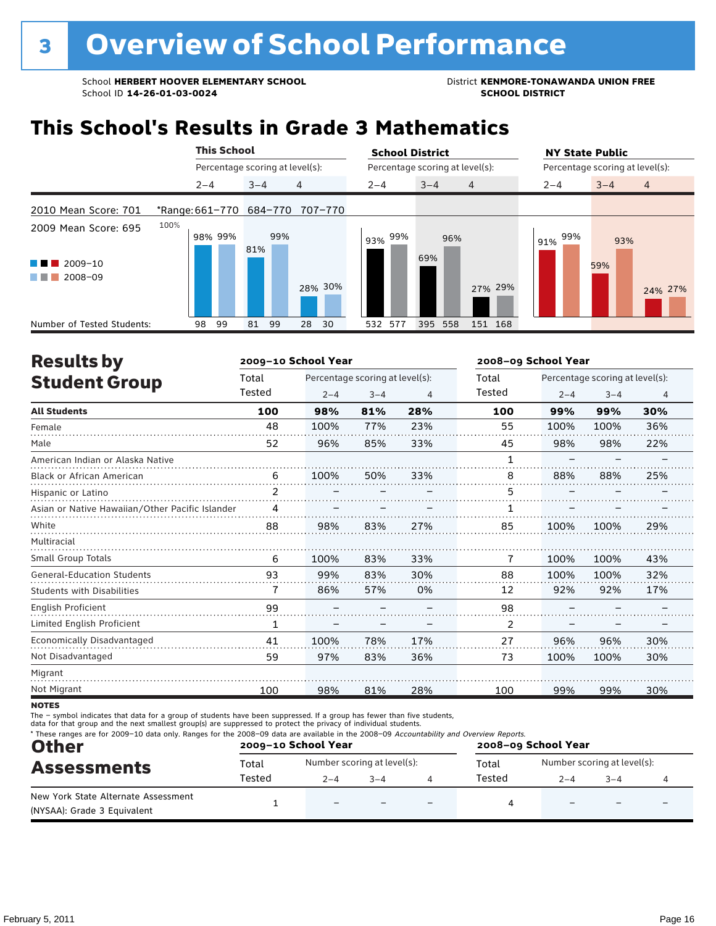### **This School's Results in Grade 3 Mathematics**

|                                                           | <b>This School</b> |                                 | <b>School District</b>               | <b>NY State Public</b>               |
|-----------------------------------------------------------|--------------------|---------------------------------|--------------------------------------|--------------------------------------|
|                                                           |                    | Percentage scoring at level(s): | Percentage scoring at level(s):      | Percentage scoring at level(s):      |
|                                                           | $2 - 4$            | 4<br>$3 - 4$                    | $3 - 4$<br>$2 - 4$<br>$\overline{4}$ | $3 - 4$<br>$\overline{4}$<br>$2 - 4$ |
| 2010 Mean Score: 701                                      | *Range: 661-770    | 684-770<br>707-770              |                                      |                                      |
| 2009 Mean Score: 695<br>$2009 - 10$<br>a sa na<br>2008-09 | 100%<br>98% 99%    | 99%<br>81%<br>28% 30%           | 99%<br>96%<br>93%<br>69%<br>27% 29%  | 99%<br>93%<br>91%<br>59%<br>24% 27%  |
| Number of Tested Students:                                | 99<br>98           | 99<br>30<br>81<br>28            | 532 577<br>395<br>558<br>151 168     |                                      |

| <b>Results by</b>                               |                | 2009-10 School Year |                                 |                | 2008-09 School Year |         |                                 |     |
|-------------------------------------------------|----------------|---------------------|---------------------------------|----------------|---------------------|---------|---------------------------------|-----|
| <b>Student Group</b>                            | Total          |                     | Percentage scoring at level(s): |                | Total               |         | Percentage scoring at level(s): |     |
|                                                 | Tested         | $2 - 4$             | $3 - 4$                         | $\overline{4}$ | Tested              | $2 - 4$ | $3 - 4$                         | 4   |
| <b>All Students</b>                             | 100            | 98%                 | 81%                             | 28%            | 100                 | 99%     | 99%                             | 30% |
| Female                                          | 48             | 100%                | 77%                             | 23%            | 55                  | 100%    | 100%                            | 36% |
| Male                                            | 52             | 96%                 | 85%                             | 33%            | 45                  | 98%     | 98%                             | 22% |
| American Indian or Alaska Native                |                |                     |                                 |                | 1                   |         |                                 |     |
| <b>Black or African American</b>                | 6              | 100%                | 50%                             | 33%            | 8                   | 88%     | 88%                             | 25% |
| Hispanic or Latino                              | $\overline{2}$ |                     |                                 |                | 5                   |         |                                 |     |
| Asian or Native Hawaiian/Other Pacific Islander | 4              |                     |                                 |                |                     |         |                                 |     |
| White                                           | 88             | 98%                 | 83%                             | 27%            | 85                  | 100%    | 100%                            | 29% |
| Multiracial                                     |                |                     |                                 |                |                     |         |                                 |     |
| <b>Small Group Totals</b>                       | 6              | 100%                | 83%                             | 33%            | 7                   | 100%    | 100%                            | 43% |
| <b>General-Education Students</b>               | 93             | 99%                 | 83%                             | 30%            | 88                  | 100%    | 100%                            | 32% |
| <b>Students with Disabilities</b>               | 7              | 86%                 | 57%                             | 0%             | 12                  | 92%     | 92%                             | 17% |
| <b>English Proficient</b>                       | 99             |                     |                                 |                | 98                  |         |                                 |     |
| Limited English Proficient                      | 1              |                     |                                 |                | 2                   |         |                                 |     |
| Economically Disadvantaged                      | 41             | 100%                | 78%                             | 17%            | 27                  | 96%     | 96%                             | 30% |
| Not Disadvantaged                               | 59             | 97%                 | 83%                             | 36%            | 73                  | 100%    | 100%                            | 30% |
| Migrant                                         |                |                     |                                 |                |                     |         |                                 |     |
| Not Migrant                                     | 100            | 98%                 | 81%                             | 28%            | 100                 | 99%     | 99%                             | 30% |
|                                                 |                |                     |                                 |                |                     |         |                                 |     |

**NOTES** 

The – symbol indicates that data for a group of students have been suppressed. If a group has fewer than five students,<br>data for that group and the next smallest group(s) are suppressed to protect the privacy of individual

| <b>Other</b>                                                       |        | 2009-10 School Year         |         | * These ranges are for 2009-10 data only. Ranges for the 2008-09 data are available in the 2008-09 Accountability and Overview Reports.<br>2008-09 School Year |        |                             |        |  |
|--------------------------------------------------------------------|--------|-----------------------------|---------|----------------------------------------------------------------------------------------------------------------------------------------------------------------|--------|-----------------------------|--------|--|
| <b>Assessments</b>                                                 | Total  | Number scoring at level(s): |         |                                                                                                                                                                | Total  | Number scoring at level(s): |        |  |
|                                                                    | Tested | $2 - 4$                     | $3 - 4$ |                                                                                                                                                                | Tested | $2 - 4$                     | $-3-4$ |  |
| New York State Alternate Assessment<br>(NYSAA): Grade 3 Equivalent |        | $\overline{\phantom{0}}$    |         |                                                                                                                                                                |        |                             |        |  |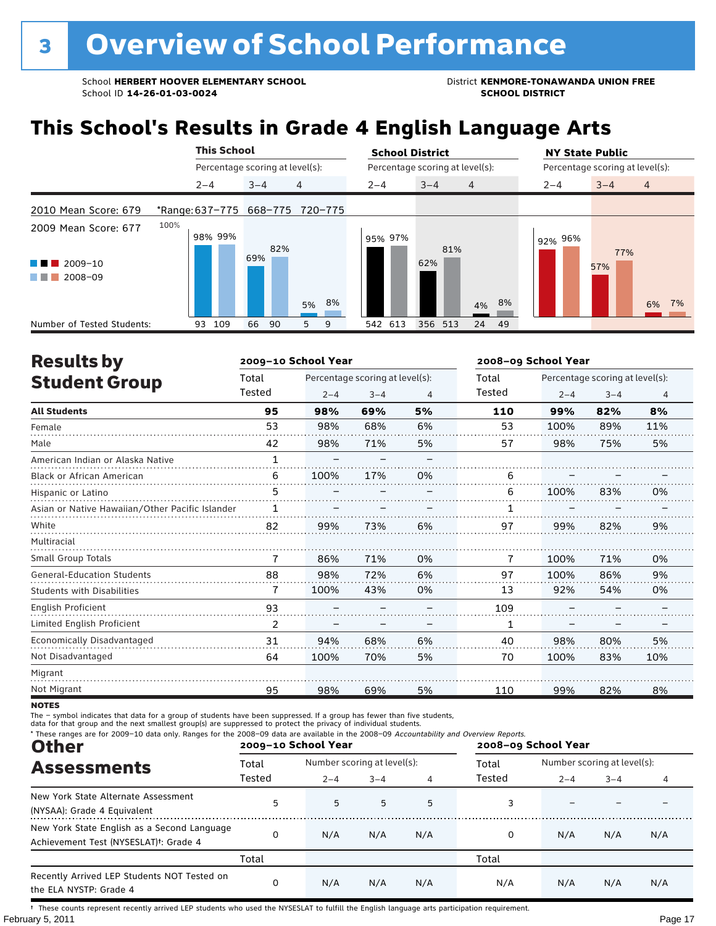## **This School's Results in Grade 4 English Language Arts**

|                                                                   |         | <b>This School</b>              |            |                                 | <b>School District</b> |                                 | <b>NY State Public</b>               |
|-------------------------------------------------------------------|---------|---------------------------------|------------|---------------------------------|------------------------|---------------------------------|--------------------------------------|
|                                                                   |         | Percentage scoring at level(s): |            |                                 |                        | Percentage scoring at level(s): | Percentage scoring at level(s):      |
|                                                                   | $2 - 4$ |                                 | $3 - 4$    | 4                               | $2 - 4$                | $3 - 4$<br>$\overline{4}$       | $\overline{4}$<br>$3 - 4$<br>$2 - 4$ |
| 2010 Mean Score: 679                                              |         |                                 |            | *Range: 637-775 668-775 720-775 |                        |                                 |                                      |
| 2009 Mean Score: 677<br>$2009 - 10$<br><b>Contract</b><br>2008-09 | 100%    | 98% 99%                         | 82%<br>69% | 5% 8%                           | 95% 97%                | 81%<br>62%<br>8%<br>4%          | 92% 96%<br>77%<br>57%<br>6%<br>7%    |
| Number of Tested Students:                                        | 93      | 109                             | 66<br>90   | 9<br>5.                         | 542 613                | 356 513<br>24 49                |                                      |

| <b>Results by</b>                               |              | 2009-10 School Year |                                 |    | 2008-09 School Year |                                 |         |                |  |
|-------------------------------------------------|--------------|---------------------|---------------------------------|----|---------------------|---------------------------------|---------|----------------|--|
| <b>Student Group</b>                            | Total        |                     | Percentage scoring at level(s): |    | Total               | Percentage scoring at level(s): |         |                |  |
|                                                 | Tested       | $2 - 4$             | $3 - 4$                         | 4  | Tested              | $2 - 4$                         | $3 - 4$ | $\overline{4}$ |  |
| <b>All Students</b>                             | 95           | 98%                 | 69%                             | 5% | 110                 | 99%                             | 82%     | 8%             |  |
| Female                                          | 53           | 98%                 | 68%                             | 6% | 53                  | 100%                            | 89%     | 11%            |  |
| Male                                            | 42           | 98%                 | 71%                             | 5% | 57                  | 98%                             | 75%     | 5%             |  |
| American Indian or Alaska Native                | $\mathbf{1}$ |                     |                                 |    |                     |                                 |         |                |  |
| <b>Black or African American</b>                | 6            | 100%                | 17%                             | 0% | 6                   |                                 |         |                |  |
| Hispanic or Latino                              | 5            |                     |                                 |    | 6                   | 100%                            | 83%     | 0%             |  |
| Asian or Native Hawaiian/Other Pacific Islander | 1            |                     |                                 |    |                     |                                 |         |                |  |
| White                                           | 82           | 99%                 | 73%                             | 6% | 97                  | 99%                             | 82%     | 9%             |  |
| Multiracial                                     |              |                     |                                 |    |                     |                                 |         |                |  |
| <b>Small Group Totals</b>                       | 7            | 86%                 | 71%                             | 0% | 7                   | 100%                            | 71%     | 0%             |  |
| <b>General-Education Students</b>               | 88           | 98%                 | 72%                             | 6% | 97                  | 100%                            | 86%     | 9%             |  |
| <b>Students with Disabilities</b>               | 7            | 100%                | 43%                             | 0% | 13                  | 92%                             | 54%     | 0%             |  |
| English Proficient                              | 93           |                     |                                 |    | 109                 |                                 |         |                |  |
| Limited English Proficient                      | 2            |                     |                                 |    | 1                   |                                 |         |                |  |
| Economically Disadvantaged                      | 31           | 94%                 | 68%                             | 6% | 40                  | 98%                             | 80%     | 5%             |  |
| Not Disadvantaged                               | 64           | 100%                | 70%                             | 5% | 70                  | 100%                            | 83%     | 10%            |  |
| Migrant                                         |              |                     |                                 |    |                     |                                 |         |                |  |
| Not Migrant                                     | 95           | 98%                 | 69%                             | 5% | 110                 | 99%                             | 82%     | 8%             |  |

**NOTES** 

The – symbol indicates that data for a group of students have been suppressed. If a group has fewer than five students,<br>data for that group and the next smallest group(s) are suppressed to protect the privacy of individual

| * These ranges are for 2009-10 data only. Ranges for the 2008-09 data are available in the 2008-09 Accountability and Overview Reports.<br><b>Other</b> |                 | 2009-10 School Year                    |         |     | 2008-09 School Year |         |                                             |     |
|---------------------------------------------------------------------------------------------------------------------------------------------------------|-----------------|----------------------------------------|---------|-----|---------------------|---------|---------------------------------------------|-----|
| <b>Assessments</b>                                                                                                                                      | Total<br>Tested | Number scoring at level(s):<br>$2 - 4$ | $3 - 4$ | 4   | Total<br>Tested     | $2 - 4$ | Number scoring at level(s):<br>$3 - 4$<br>4 |     |
| New York State Alternate Assessment<br>(NYSAA): Grade 4 Equivalent                                                                                      | 5               | 5                                      | 5       | 5   |                     |         |                                             |     |
| New York State English as a Second Language<br>Achievement Test (NYSESLAT) <sup>t</sup> : Grade 4                                                       | 0               | N/A                                    | N/A     | N/A | 0                   | N/A     | N/A                                         | N/A |
|                                                                                                                                                         | Total           |                                        |         |     | Total               |         |                                             |     |
| Recently Arrived LEP Students NOT Tested on<br>the ELA NYSTP: Grade 4                                                                                   | 0               | N/A                                    | N/A     | N/A | N/A                 | N/A     | N/A                                         | N/A |

February 5, 2011 **Page 17** † These counts represent recently arrived LEP students who used the NYSESLAT to fulfill the English language arts participation requirement.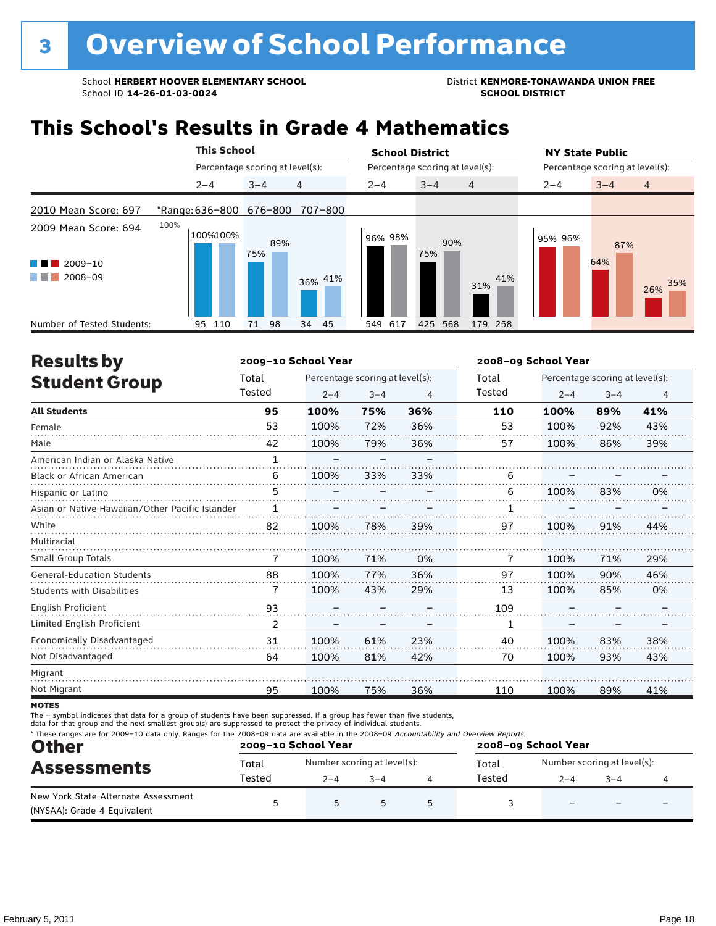## **This School's Results in Grade 4 Mathematics**

|                                                          | <b>This School</b> |                                 | <b>School District</b>          |            | <b>NY State Public</b><br>Percentage scoring at level(s): |                           |  |  |
|----------------------------------------------------------|--------------------|---------------------------------|---------------------------------|------------|-----------------------------------------------------------|---------------------------|--|--|
|                                                          |                    | Percentage scoring at level(s): | Percentage scoring at level(s): |            |                                                           |                           |  |  |
|                                                          | $2 - 4$            | 4<br>$3 - 4$                    | $3 - 4$<br>$2 - 4$              | 4          | $2 - 4$                                                   | $\overline{4}$<br>$3 - 4$ |  |  |
| 2010 Mean Score: 697                                     | *Range: 636-800    | 676-800<br>707-800              |                                 |            |                                                           |                           |  |  |
| 2009 Mean Score: 694<br>$2009 - 10$<br>u na m<br>2008-09 | 100%<br>100%100%   | 89%<br>75%<br>36% 41%           | 96% 98%<br>90%<br>75%           | 41%<br>31% | 95% 96%                                                   | 87%<br>64%<br>35%<br>26%  |  |  |
| Number of Tested Students:                               | 95<br>110          | 98<br>45<br>34<br>71            | 425<br>568<br>617<br>549        | 179 258    |                                                           |                           |  |  |

| <b>Results by</b>                               |              | 2009-10 School Year |                                 |     | 2008-09 School Year |                                 |         |     |  |
|-------------------------------------------------|--------------|---------------------|---------------------------------|-----|---------------------|---------------------------------|---------|-----|--|
| <b>Student Group</b>                            | Total        |                     | Percentage scoring at level(s): |     | Total               | Percentage scoring at level(s): |         |     |  |
|                                                 | Tested       | $2 - 4$             | $3 - 4$                         | 4   | Tested              | $2 - 4$                         | $3 - 4$ | 4   |  |
| <b>All Students</b>                             | 95           | 100%                | 75%                             | 36% | 110                 | 100%                            | 89%     | 41% |  |
| Female                                          | 53           | 100%                | 72%                             | 36% | 53                  | 100%                            | 92%     | 43% |  |
| Male                                            | 42           | 100%                | 79%                             | 36% | 57                  | 100%                            | 86%     | 39% |  |
| American Indian or Alaska Native                | $\mathbf{1}$ |                     |                                 |     |                     |                                 |         |     |  |
| <b>Black or African American</b>                | 6            | 100%                | 33%                             | 33% | 6                   |                                 |         |     |  |
| Hispanic or Latino                              | 5            |                     |                                 |     | 6                   | 100%                            | 83%     | 0%  |  |
| Asian or Native Hawaiian/Other Pacific Islander | 1            |                     |                                 |     |                     |                                 |         |     |  |
| White                                           | 82           | 100%                | 78%                             | 39% | 97                  | 100%                            | 91%     | 44% |  |
| Multiracial                                     |              |                     |                                 |     |                     |                                 |         |     |  |
| <b>Small Group Totals</b>                       | 7            | 100%                | 71%                             | 0%  | 7                   | 100%                            | 71%     | 29% |  |
| <b>General-Education Students</b>               | 88           | 100%                | 77%                             | 36% | 97                  | 100%                            | 90%     | 46% |  |
| <b>Students with Disabilities</b>               | 7            | 100%                | 43%                             | 29% | 13                  | 100%                            | 85%     | 0%  |  |
| English Proficient                              | 93           |                     |                                 |     | 109                 |                                 |         |     |  |
| Limited English Proficient                      | 2            |                     |                                 |     | 1                   |                                 |         |     |  |
| Economically Disadvantaged                      | 31           | 100%                | 61%                             | 23% | 40                  | 100%                            | 83%     | 38% |  |
| Not Disadvantaged                               | 64           | 100%                | 81%                             | 42% | 70                  | 100%                            | 93%     | 43% |  |
| Migrant                                         |              |                     |                                 |     |                     |                                 |         |     |  |
| Not Migrant                                     | 95           | 100%                | 75%                             | 36% | 110                 | 100%                            | 89%     | 41% |  |
|                                                 |              |                     |                                 |     |                     |                                 |         |     |  |

**NOTES** 

The – symbol indicates that data for a group of students have been suppressed. If a group has fewer than five students,<br>data for that group and the next smallest group(s) are suppressed to protect the privacy of individual

| <b>Other</b><br><b>Assessments</b>                                 |        | 2009-10 School Year |                             | 2008-09 School Year |        |                             |         |  |
|--------------------------------------------------------------------|--------|---------------------|-----------------------------|---------------------|--------|-----------------------------|---------|--|
|                                                                    | Total  |                     | Number scoring at level(s): |                     |        | Number scoring at level(s): |         |  |
|                                                                    | Tested | $2 - 4$             | $3 - 4$                     |                     | Tested | $2 - 4$                     | $3 - 4$ |  |
| New York State Alternate Assessment<br>(NYSAA): Grade 4 Equivalent |        | 5                   | 5                           |                     |        | $\overline{\phantom{0}}$    |         |  |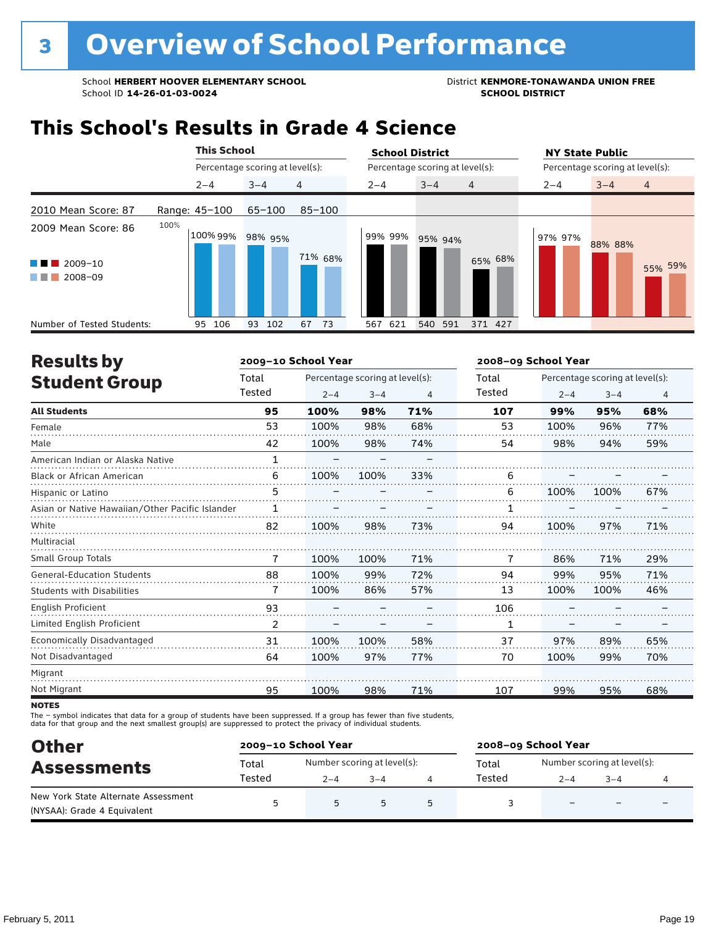### **This School's Results in Grade 4 Science**

|                                                                   |               | <b>This School</b>              |            |            | <b>School District</b> |                                 | <b>NY State Public</b>               |
|-------------------------------------------------------------------|---------------|---------------------------------|------------|------------|------------------------|---------------------------------|--------------------------------------|
|                                                                   |               | Percentage scoring at level(s): |            |            |                        | Percentage scoring at level(s): | Percentage scoring at level(s):      |
|                                                                   |               | $2 - 4$                         | $3 - 4$    | 4          | $2 - 4$                | $3 - 4$<br>$\overline{4}$       | $3 - 4$<br>$\overline{4}$<br>$2 - 4$ |
| 2010 Mean Score: 87                                               | Range: 45-100 |                                 | $65 - 100$ | $85 - 100$ |                        |                                 |                                      |
| 2009 Mean Score: 86<br>$2009 - 10$<br>a ka<br>2008-09<br>a sa Tan | 100%          | 100% 99%                        | 98% 95%    | 71% 68%    | 99% 99%                | 95% 94%<br>65% 68%              | 97% 97%<br>88% 88%<br>55% 59%        |
| Number of Tested Students:                                        |               | 106<br>95                       | 93<br>102  | 67<br>-73  | 621<br>567             | 540<br>371 427<br>591           |                                      |

| <b>Results by</b>                               |              | 2009-10 School Year             |         |     | 2008-09 School Year |                                 |         |                |  |
|-------------------------------------------------|--------------|---------------------------------|---------|-----|---------------------|---------------------------------|---------|----------------|--|
| <b>Student Group</b>                            | Total        | Percentage scoring at level(s): |         |     | Total               | Percentage scoring at level(s): |         |                |  |
|                                                 | Tested       | $2 - 4$                         | $3 - 4$ | 4   | Tested              | $2 - 4$                         | $3 - 4$ | $\overline{4}$ |  |
| <b>All Students</b>                             | 95           | 100%                            | 98%     | 71% | 107                 | 99%                             | 95%     | 68%            |  |
| Female                                          | 53           | 100%                            | 98%     | 68% | 53                  | 100%                            | 96%     | 77%            |  |
| Male                                            | 42           | 100%                            | 98%     | 74% | 54                  | 98%                             | 94%     | 59%            |  |
| American Indian or Alaska Native                | $\mathbf{1}$ |                                 |         |     |                     |                                 |         |                |  |
| <b>Black or African American</b>                | 6            | 100%                            | 100%    | 33% | 6                   |                                 |         |                |  |
| Hispanic or Latino                              | 5            |                                 |         |     | 6                   | 100%                            | 100%    | 67%            |  |
| Asian or Native Hawaiian/Other Pacific Islander | 1            |                                 |         |     |                     |                                 |         |                |  |
| White                                           | 82           | 100%                            | 98%     | 73% | 94                  | 100%                            | 97%     | 71%            |  |
| Multiracial                                     |              |                                 |         |     |                     |                                 |         |                |  |
| Small Group Totals                              | 7            | 100%                            | 100%    | 71% | 7                   | 86%                             | 71%     | 29%            |  |
| <b>General-Education Students</b>               | 88           | 100%                            | 99%     | 72% | 94                  | 99%                             | 95%     | 71%            |  |
| Students with Disabilities                      | 7            | 100%                            | 86%     | 57% | 13                  | 100%                            | 100%    | 46%            |  |
| <b>English Proficient</b>                       | 93           |                                 |         |     | 106                 |                                 |         |                |  |
| Limited English Proficient                      | 2            |                                 |         |     | 1                   |                                 |         |                |  |
| Economically Disadvantaged                      | 31           | 100%                            | 100%    | 58% | 37                  | 97%                             | 89%     | 65%            |  |
| Not Disadvantaged                               | 64           | 100%                            | 97%     | 77% | 70                  | 100%                            | 99%     | 70%            |  |
| Migrant                                         |              |                                 |         |     |                     |                                 |         |                |  |
| Not Migrant                                     | 95           | 100%                            | 98%     | 71% | 107                 | 99%                             | 95%     | 68%            |  |

**NOTES** 

The – symbol indicates that data for a group of students have been suppressed. If a group has fewer than five students,<br>data for that group and the next smallest group(s) are suppressed to protect the privacy of individual

| <b>Other</b>                        |        | 2009-10 School Year         |         | 2008-09 School Year |                             |                          |                          |  |
|-------------------------------------|--------|-----------------------------|---------|---------------------|-----------------------------|--------------------------|--------------------------|--|
| <b>Assessments</b>                  | Total  | Number scoring at level(s): |         | Total               | Number scoring at level(s): |                          |                          |  |
|                                     | Tested | $2 - 4$                     | $3 - 4$ | Tested              | $2 - 4$                     | $-4$                     |                          |  |
| New York State Alternate Assessment | г.     |                             | 5       |                     |                             |                          |                          |  |
| (NYSAA): Grade 4 Equivalent         |        |                             |         |                     | $\overline{\phantom{0}}$    | $\overline{\phantom{0}}$ | $\overline{\phantom{0}}$ |  |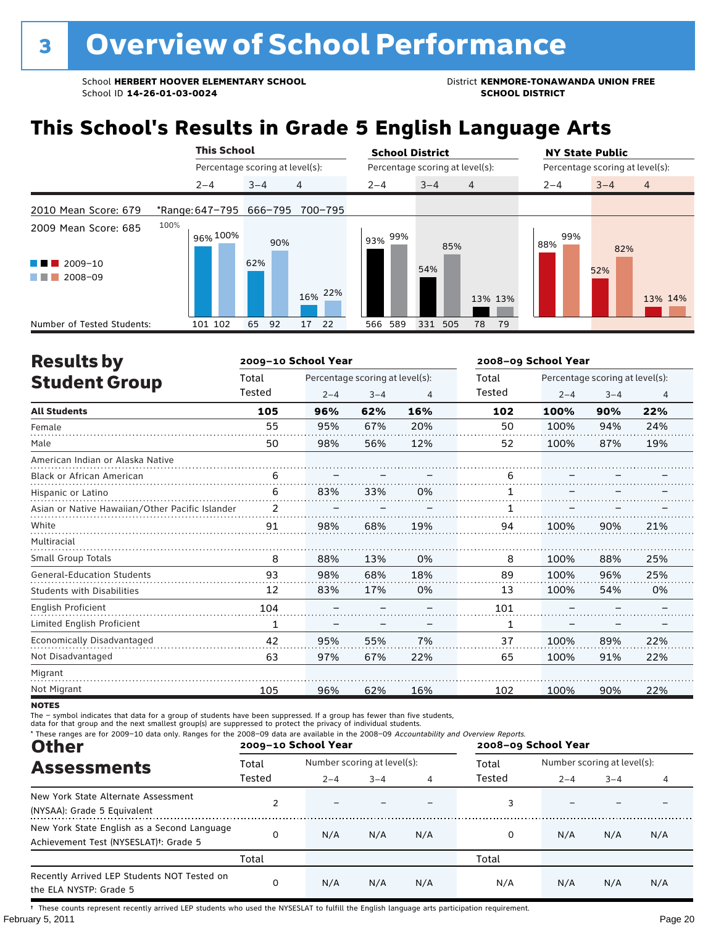## **This School's Results in Grade 5 English Language Arts**

|                                                                                                                                                                            | <b>This School</b> |                                 | <b>School District</b>                 | <b>NY State Public</b>               |
|----------------------------------------------------------------------------------------------------------------------------------------------------------------------------|--------------------|---------------------------------|----------------------------------------|--------------------------------------|
|                                                                                                                                                                            |                    | Percentage scoring at level(s): | Percentage scoring at level(s):        | Percentage scoring at level(s):      |
|                                                                                                                                                                            | $2 - 4$            | 4<br>$3 - 4$                    | $2 - 4$<br>$3 - 4$<br>$\overline{4}$   | $3 - 4$<br>$\overline{4}$<br>$2 - 4$ |
| 2010 Mean Score: 679                                                                                                                                                       |                    | *Range: 647-795 666-795 700-795 |                                        |                                      |
| 2009 Mean Score: 685                                                                                                                                                       | 100%<br>96% 100%   | 90%                             | 99%<br>93%<br>85%                      | 99%<br>88%<br>82%                    |
| <u>ta ka</u><br>$\blacksquare$ 2009-10<br>2008-09<br><b>The Contract of the Contract of the Contract of the Contract of the Contract of the Contract of the Contract o</b> |                    | 62%<br>16% 22%                  | 54%<br>13% 13%                         | 52%<br>13% 14%                       |
| Number of Tested Students:                                                                                                                                                 | 101 102            | 92<br>65<br>22<br>17            | 589<br>331<br>505<br>566<br>78<br>- 79 |                                      |

| <b>Results by</b>                               |        | 2009-10 School Year |                                 |     | 2008-09 School Year |                                 |         |     |  |
|-------------------------------------------------|--------|---------------------|---------------------------------|-----|---------------------|---------------------------------|---------|-----|--|
| <b>Student Group</b>                            | Total  |                     | Percentage scoring at level(s): |     | Total               | Percentage scoring at level(s): |         |     |  |
|                                                 | Tested | $2 - 4$             | $3 - 4$                         | 4   | Tested              | $2 - 4$                         | $3 - 4$ | 4   |  |
| <b>All Students</b>                             | 105    | 96%                 | 62%                             | 16% | 102                 | 100%                            | 90%     | 22% |  |
| Female                                          | 55     | 95%                 | 67%                             | 20% | 50                  | 100%                            | 94%     | 24% |  |
| Male                                            | 50     | 98%                 | 56%                             | 12% | 52                  | 100%                            | 87%     | 19% |  |
| American Indian or Alaska Native                |        |                     |                                 |     |                     |                                 |         |     |  |
| <b>Black or African American</b>                | 6      |                     |                                 |     | 6                   |                                 |         |     |  |
| Hispanic or Latino                              | 6      | 83%                 | 33%                             | 0%  |                     |                                 |         |     |  |
| Asian or Native Hawaiian/Other Pacific Islander | 2      |                     |                                 |     |                     |                                 |         |     |  |
| White                                           | 91     | 98%                 | 68%                             | 19% | 94                  | 100%                            | 90%     | 21% |  |
| Multiracial                                     |        |                     |                                 |     |                     |                                 |         |     |  |
| Small Group Totals                              | 8      | 88%                 | 13%                             | 0%  | 8                   | 100%                            | 88%     | 25% |  |
| <b>General-Education Students</b>               | 93     | 98%                 | 68%                             | 18% | 89                  | 100%                            | 96%     | 25% |  |
| Students with Disabilities                      | 12     | 83%                 | 17%                             | 0%  | 13                  | 100%                            | 54%     | 0%  |  |
| English Proficient                              | 104    |                     |                                 |     | 101                 |                                 |         |     |  |
| Limited English Proficient                      | 1      |                     |                                 |     | 1                   |                                 |         |     |  |
| Economically Disadvantaged                      | 42     | 95%                 | 55%                             | 7%  | 37                  | 100%                            | 89%     | 22% |  |
| Not Disadvantaged                               | 63     | 97%                 | 67%                             | 22% | 65                  | 100%                            | 91%     | 22% |  |
| Migrant                                         |        |                     |                                 |     |                     |                                 |         |     |  |
| Not Migrant                                     | 105    | 96%                 | 62%                             | 16% | 102                 | 100%                            | 90%     | 22% |  |

**NOTES** 

The – symbol indicates that data for a group of students have been suppressed. If a group has fewer than five students,<br>data for that group and the next smallest group(s) are suppressed to protect the privacy of individual

| * These ranges are for 2009-10 data only. Ranges for the 2008-09 data are available in the 2008-09 Accountability and Overview Reports.<br><b>Other</b> |                 | 2009-10 School Year                    |         |     | 2008-09 School Year |                                        |         |     |
|---------------------------------------------------------------------------------------------------------------------------------------------------------|-----------------|----------------------------------------|---------|-----|---------------------|----------------------------------------|---------|-----|
| <b>Assessments</b>                                                                                                                                      | Total<br>Tested | Number scoring at level(s):<br>$2 - 4$ | $3 - 4$ | 4   | Total<br>Tested     | Number scoring at level(s):<br>$2 - 4$ | $3 - 4$ | 4   |
| New York State Alternate Assessment<br>(NYSAA): Grade 5 Equivalent                                                                                      |                 |                                        |         |     |                     |                                        |         |     |
| New York State English as a Second Language<br>Achievement Test (NYSESLAT) <sup>t</sup> : Grade 5                                                       | 0               | N/A                                    | N/A     | N/A | 0                   | N/A                                    | N/A     | N/A |
|                                                                                                                                                         | Total           |                                        |         |     | Total               |                                        |         |     |
| Recently Arrived LEP Students NOT Tested on<br>the ELA NYSTP: Grade 5                                                                                   | 0               | N/A                                    | N/A     | N/A | N/A                 | N/A                                    | N/A     | N/A |

February 5, 2011 **Page 20** † These counts represent recently arrived LEP students who used the NYSESLAT to fulfill the English language arts participation requirement.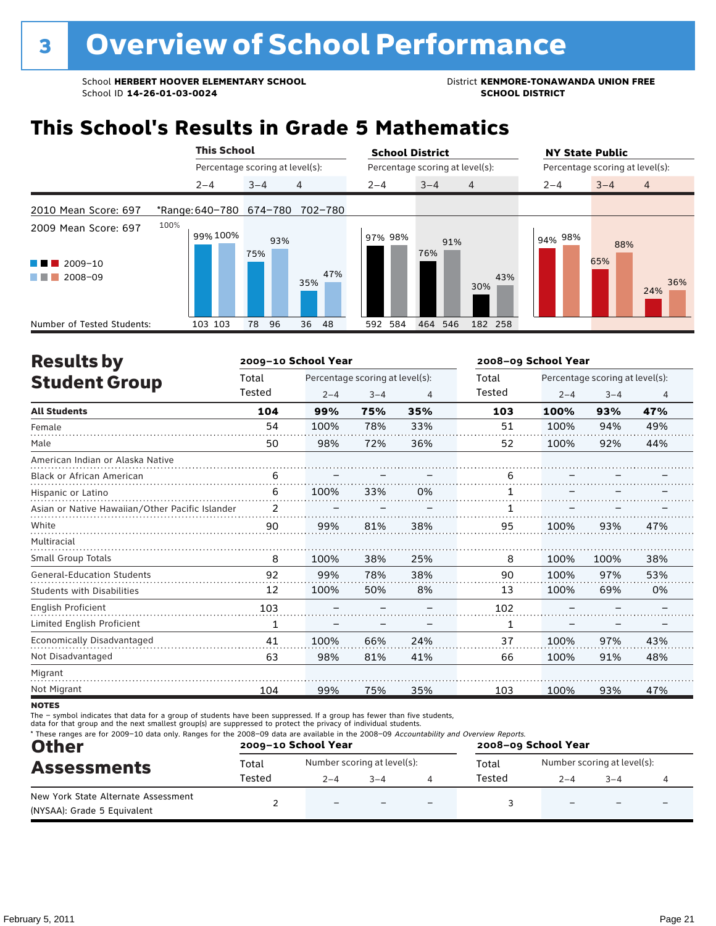### **This School's Results in Grade 5 Mathematics**

|                                                          | <b>This School</b>      |                                 | <b>School District</b>          | <b>NY State Public</b>                                 |  |
|----------------------------------------------------------|-------------------------|---------------------------------|---------------------------------|--------------------------------------------------------|--|
|                                                          |                         | Percentage scoring at level(s): | Percentage scoring at level(s): | Percentage scoring at level(s):                        |  |
|                                                          | $2 - 4$                 | 4<br>$3 - 4$                    | $3 - 4$<br>$2 - 4$              | $\overline{4}$<br>$\overline{4}$<br>$3 - 4$<br>$2 - 4$ |  |
| 2010 Mean Score: 697                                     | *Range: 640-780 674-780 | 702-780                         |                                 |                                                        |  |
| 2009 Mean Score: 697<br>$2009 - 10$<br>u na m<br>2008-09 | 100%<br>99% 100%        | 93%<br>75%<br>47%<br>35%        | 97% 98%<br>91%<br>76%           | 94% 98%<br>88%<br>65%<br>43%<br>36%<br>30%<br>24%      |  |
| Number of Tested Students:                               | 103 103                 | 96<br>36 48<br>78               | 592 584<br>464 546              | 182 258                                                |  |

| <b>Results by</b>                               |              | 2009-10 School Year |                                 |     | 2008-09 School Year |                                 |         |                |  |
|-------------------------------------------------|--------------|---------------------|---------------------------------|-----|---------------------|---------------------------------|---------|----------------|--|
| <b>Student Group</b>                            | Total        |                     | Percentage scoring at level(s): |     | Total               | Percentage scoring at level(s): |         |                |  |
|                                                 | Tested       | $2 - 4$             | $3 - 4$                         | 4   | Tested              | $2 - 4$                         | $3 - 4$ | $\overline{4}$ |  |
| <b>All Students</b>                             | 104          | 99%                 | 75%                             | 35% | 103                 | 100%                            | 93%     | 47%            |  |
| Female                                          | 54           | 100%                | 78%                             | 33% | 51                  | 100%                            | 94%     | 49%            |  |
| Male                                            | 50           | 98%                 | 72%                             | 36% | 52                  | 100%                            | 92%     | 44%            |  |
| American Indian or Alaska Native                |              |                     |                                 |     |                     |                                 |         |                |  |
| <b>Black or African American</b>                | 6            |                     |                                 |     | 6                   |                                 |         |                |  |
| Hispanic or Latino                              | 6            | 100%                | 33%                             | 0%  |                     |                                 |         |                |  |
| Asian or Native Hawaiian/Other Pacific Islander | 2            |                     |                                 |     |                     |                                 |         |                |  |
| White                                           | 90           | 99%                 | 81%                             | 38% | 95                  | 100%                            | 93%     | 47%            |  |
| Multiracial                                     |              |                     |                                 |     |                     |                                 |         |                |  |
| <b>Small Group Totals</b>                       | 8            | 100%                | 38%                             | 25% | 8                   | 100%                            | 100%    | 38%            |  |
| <b>General-Education Students</b>               | 92           | 99%                 | 78%                             | 38% | 90                  | 100%                            | 97%     | 53%            |  |
| <b>Students with Disabilities</b>               | 12           | 100%                | 50%                             | 8%  | 13                  | 100%                            | 69%     | 0%             |  |
| <b>English Proficient</b>                       | 103          |                     |                                 |     | 102                 |                                 |         |                |  |
| Limited English Proficient                      | $\mathbf{1}$ |                     |                                 |     | $\mathbf{1}$        |                                 |         |                |  |
| <b>Economically Disadvantaged</b>               | 41           | 100%                | 66%                             | 24% | 37                  | 100%                            | 97%     | 43%            |  |
| Not Disadvantaged                               | 63           | 98%                 | 81%                             | 41% | 66                  | 100%                            | 91%     | 48%            |  |
| Migrant                                         |              |                     |                                 |     |                     |                                 |         |                |  |
| Not Migrant                                     | 104          | 99%                 | 75%                             | 35% | 103                 | 100%                            | 93%     | 47%            |  |
|                                                 |              |                     |                                 |     |                     |                                 |         |                |  |

**NOTES** 

The – symbol indicates that data for a group of students have been suppressed. If a group has fewer than five students,<br>data for that group and the next smallest group(s) are suppressed to protect the privacy of individual

| * These ranges are for 2009-10 data only. Ranges for the 2008-09 data are available in the 2008-09 Accountability and Overview Reports.<br><b>Other</b><br><b>Assessments</b> |        | 2009-10 School Year         |      | 2008-09 School Year |        |                             |         |  |
|-------------------------------------------------------------------------------------------------------------------------------------------------------------------------------|--------|-----------------------------|------|---------------------|--------|-----------------------------|---------|--|
|                                                                                                                                                                               | Total  | Number scoring at level(s): |      |                     | Total  | Number scoring at level(s): |         |  |
|                                                                                                                                                                               | Tested | $2 - 4$                     | $-4$ |                     | Tested | $2 - 4$                     | $3 - 4$ |  |
| New York State Alternate Assessment<br>(NYSAA): Grade 5 Equivalent                                                                                                            |        | $\overline{\phantom{0}}$    |      |                     |        |                             |         |  |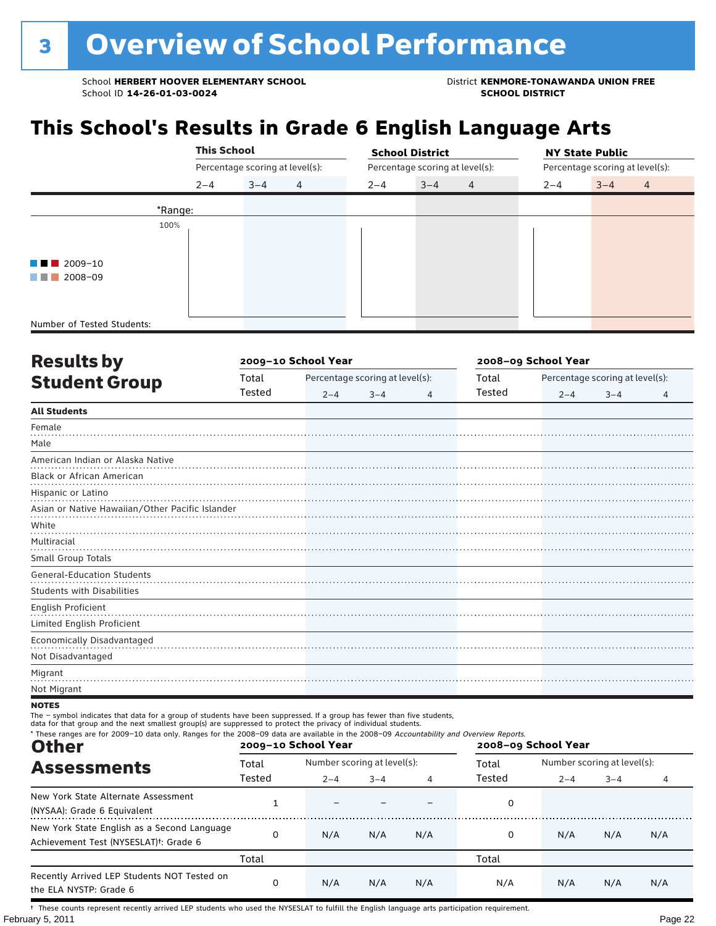## **This School's Results in Grade 6 English Language Arts**

|                                       |         | <b>This School</b>              |         |                | <b>School District</b> |                                 | <b>NY State Public</b> |         |                                 |                |  |  |
|---------------------------------------|---------|---------------------------------|---------|----------------|------------------------|---------------------------------|------------------------|---------|---------------------------------|----------------|--|--|
|                                       |         |                                 |         |                |                        | Percentage scoring at level(s): |                        |         | Percentage scoring at level(s): |                |  |  |
|                                       |         | $2 - 4$                         | $3 - 4$ | $\overline{4}$ | $2 - 4$                | $3 - 4$                         | $\overline{4}$         | $2 - 4$ | $3 - 4$                         | $\overline{4}$ |  |  |
|                                       | *Range: |                                 |         |                |                        |                                 |                        |         |                                 |                |  |  |
|                                       | 100%    | Percentage scoring at level(s): |         |                |                        |                                 |                        |         |                                 |                |  |  |
|                                       |         |                                 |         |                |                        |                                 |                        |         |                                 |                |  |  |
| $\blacksquare$ $\blacksquare$ 2009-10 |         |                                 |         |                |                        |                                 |                        |         |                                 |                |  |  |
| 2008-09<br>a sa Tan                   |         |                                 |         |                |                        |                                 |                        |         |                                 |                |  |  |
|                                       |         |                                 |         |                |                        |                                 |                        |         |                                 |                |  |  |
|                                       |         |                                 |         |                |                        |                                 |                        |         |                                 |                |  |  |
| Number of Tested Students:            |         |                                 |         |                |                        |                                 |                        |         |                                 |                |  |  |

| <b>Results by</b>                               |        | 2009-10 School Year |                                 |   | 2008-09 School Year |                                 |         |   |  |
|-------------------------------------------------|--------|---------------------|---------------------------------|---|---------------------|---------------------------------|---------|---|--|
| <b>Student Group</b>                            | Total  |                     | Percentage scoring at level(s): |   | Total               | Percentage scoring at level(s): |         |   |  |
|                                                 | Tested | $2 - 4$             | $3 - 4$                         | 4 | Tested              | $2 - 4$                         | $3 - 4$ | 4 |  |
| <b>All Students</b>                             |        |                     |                                 |   |                     |                                 |         |   |  |
| Female                                          |        |                     |                                 |   |                     |                                 |         |   |  |
| Male                                            |        |                     |                                 |   |                     |                                 |         |   |  |
| American Indian or Alaska Native                |        |                     |                                 |   |                     |                                 |         |   |  |
| Black or African American                       |        |                     |                                 |   |                     |                                 |         |   |  |
| Hispanic or Latino                              |        |                     |                                 |   |                     |                                 |         |   |  |
| Asian or Native Hawaiian/Other Pacific Islander |        |                     |                                 |   |                     |                                 |         |   |  |
| White                                           |        |                     |                                 |   |                     |                                 |         |   |  |
| Multiracial                                     |        |                     |                                 |   |                     |                                 |         |   |  |
| Small Group Totals                              |        |                     |                                 |   |                     |                                 |         |   |  |
| <b>General-Education Students</b>               |        |                     |                                 |   |                     |                                 |         |   |  |
| <b>Students with Disabilities</b>               |        |                     |                                 |   |                     |                                 |         |   |  |
| English Proficient                              |        |                     |                                 |   |                     |                                 |         |   |  |
| Limited English Proficient                      |        |                     |                                 |   |                     |                                 |         |   |  |
| Economically Disadvantaged                      |        |                     |                                 |   |                     |                                 |         |   |  |
| Not Disadvantaged                               |        |                     |                                 |   |                     |                                 |         |   |  |
| Migrant                                         |        |                     |                                 |   |                     |                                 |         |   |  |
| Not Migrant                                     |        |                     |                                 |   |                     |                                 |         |   |  |

#### **NOTES**

The – symbol indicates that data for a group of students have been suppressed. If a group has fewer than five students,<br>data for that group and the next smallest group(s) are suppressed to protect the privacy of individual

| * These ranges are for 2009-10 data only. Ranges for the 2008-09 data are available in the 2008-09 Accountability and Overview Reports.<br><b>Other</b> |          | 2009-10 School Year         |         |     | 2008-09 School Year |                             |         |     |  |
|---------------------------------------------------------------------------------------------------------------------------------------------------------|----------|-----------------------------|---------|-----|---------------------|-----------------------------|---------|-----|--|
| <b>Assessments</b>                                                                                                                                      | Total    | Number scoring at level(s): |         |     | Total               | Number scoring at level(s): |         |     |  |
|                                                                                                                                                         | Tested   | $2 - 4$                     | $3 - 4$ | 4   | Tested              | $2 - 4$                     | $3 - 4$ | 4   |  |
| New York State Alternate Assessment<br>(NYSAA): Grade 6 Equivalent                                                                                      |          |                             |         |     | 0                   |                             |         |     |  |
| New York State English as a Second Language<br>Achievement Test (NYSESLAT) <sup>†</sup> : Grade 6                                                       | $\Omega$ | N/A                         | N/A     | N/A | 0                   | N/A                         | N/A     | N/A |  |
|                                                                                                                                                         | Total    |                             |         |     | Total               |                             |         |     |  |
| Recently Arrived LEP Students NOT Tested on<br>the ELA NYSTP: Grade 6                                                                                   | 0        | N/A                         | N/A     | N/A | N/A                 | N/A                         | N/A     | N/A |  |

February 5, 2011 **Page 22** † These counts represent recently arrived LEP students who used the NYSESLAT to fulfill the English language arts participation requirement.